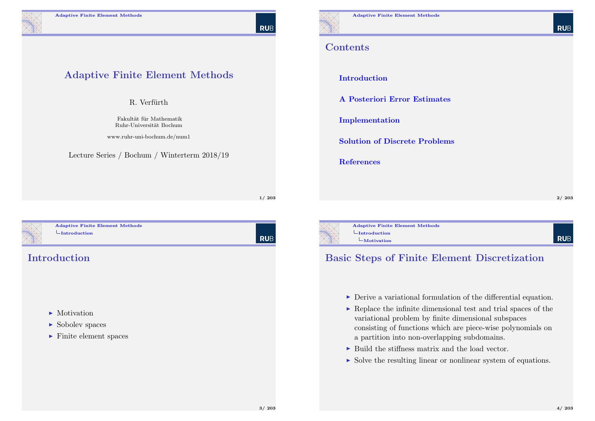Adaptive Finite Element Methods

R. Verfürth

Fakultät für Mathematik Ruhr-Universit¨at Bochum www.ruhr-uni-bochum.de/num1

Lecture Series / Bochum / Winterterm 2018/19

RUB

#### **Contents**

Introduction

A Posteriori Error Estimates

Implementation

Solution of Discrete Problems

References

2/ 203

**RUB** 

<span id="page-0-0"></span>

Adaptive Finite Element Methods  $L_{\text{Introduction}}$  $L_{\text{Introduction}}$  $L_{\text{Introduction}}$ 

#### **Introduction**

- $\blacktriangleright$  [Motivation](#page-12-0)
- $\blacktriangleright$  Sobolev spaces
- $\blacktriangleright$  [Finite e](#page-33-0)lement spaces

| Rub

1/ 203



Adaptive Finite Element Methods  $L_{\text{Introduction}}$  $L$ Motivation

#### Basic Steps of Finite Element Discretization

- $\triangleright$  Derive a variational formulation of the differential equation.
- $\triangleright$  Replace the infinite dimensional test and trial spaces of the variational problem by finite dimensional subspaces consisting of functions which are piece-wise polynomials on a partition into non-overlapping subdomains.
- $\triangleright$  Build the stiffness matrix and the load vector.
- $\triangleright$  Solve the resulting linear or nonlinear system of equations.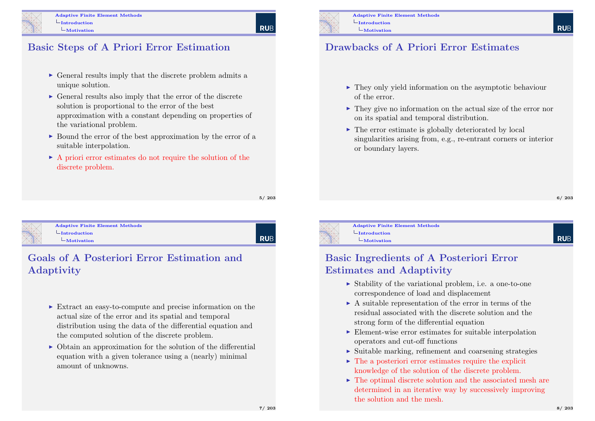#### Basic Steps of A Priori Error Estimation

- $\triangleright$  General results imply that the discrete problem admits a unique solution.
- $\triangleright$  General results also imply that the error of the discrete solution is proportional to the error of the best approximation with a constant depending on properties of the variational problem.
- $\triangleright$  Bound the error of the best approximation by the error of a suitable interpolation.
- $\triangleright$  A priori error estimates do not require the solution of the discrete problem.

5/ 203

**RUE** 

<span id="page-1-0"></span>

#### Adaptive Finite Element Methods  $L$ [Introduction](#page-0-0)

[Mo](#page-1-0)tivation

**RUB** 

#### Goals of A Posteriori Error Estimation and Adaptivity

- $\triangleright$  Extract an easy-to-compute and precise information on the actual size of the error and its spatial and temporal distribution using the data of the differential equation and the computed solution of the discrete problem.
- $\triangleright$  Obtain an approximation for the solution of the differential equation with a given tolerance using a (nearly) minimal amount of unknowns.



#### Drawbacks of A Priori Error Estimates

- $\blacktriangleright$  They only yield information on the asymptotic behaviour of the error.
- $\triangleright$  They give no information on the actual size of the error nor on its spatial and temporal distribution.
- $\triangleright$  The error estimate is globally deteriorated by local singularities arising from, e.g., re-entrant corners or interior or boundary layers.

6/ 203

**RUF** 

**RUF** 

 $L$ Introduction

Adaptive Finite Element Methods Motivation

#### Basic Ingredients of A Posteriori Error Estimates and Adaptivity

- $\triangleright$  Stability of the variational problem, i.e. a one-to-one correspondence of load and displacement
- $\triangleright$  A suitable representation of the error in terms of the residual associated with the discrete solution and the strong form of the differential equation
- $\blacktriangleright$  Element-wise error estimates for suitable interpolation operators and cut-off functions
- $\triangleright$  Suitable marking, refinement and coarsening strategies
- $\triangleright$  The a posteriori error estimates require the explicit knowledge of the solution of the discrete problem.
- $\triangleright$  The optimal discrete solution and the associated mesh are determined in an iterative way by successively improving the solution and the mesh.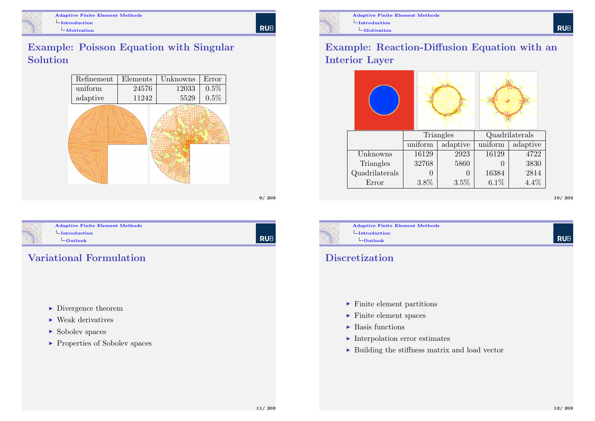

| RUB

### Example: Poisson Equation with Singular Solution



<span id="page-2-0"></span>

Adaptive Finite Element Methods  $L_{\text{Introduction}}$  $L_{\text{Introduction}}$  $L_{\text{Introduction}}$  $L_{\text{Outlook}}$  $L_{\text{Outlook}}$  $L_{\text{Outlook}}$ 

**RUB** 

9/ 203

### Variational Formulation

- $\blacktriangleright$  Divergence theorem
- $\blacktriangleright$  Weak derivatives
- $\blacktriangleright$  Sobolev spaces
- ▶ Properties of Sobolev spaces



Adaptive Finite Element Methods  $L$ Introduction  $L$ Motivation

### Example: Reaction-Diffusion Equation with an Interior Layer

|                |         | Triangles |         | Quadrilaterals |
|----------------|---------|-----------|---------|----------------|
|                | uniform | adaptive  | uniform | adaptive       |
| Unknowns       | 16129   | 2923      | 16129   | 4722           |
| Triangles      | 32768   | 5860      |         | 3830           |
| Quadrilaterals |         |           | 16384   | 2814           |
| Error          | $3.8\%$ | 3.5%      | 6.1%    | 4.4%           |

10/ 203



### **Discretization**

- $\blacktriangleright$  Finite element partitions
- $\blacktriangleright$  Finite element spaces
- $\blacktriangleright$  Basis functions
- $\blacktriangleright$  Interpolation error estimates
- $\triangleright$  Building the stiffness matrix and load vector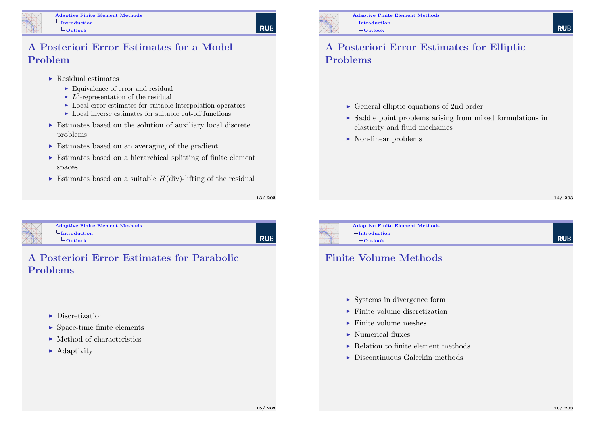#### A Posteriori Error Estimates for a Model Problem

- $\blacktriangleright$  Residual estimates
	- $\blacktriangleright$  Equivalence of error and residual
	- $\blacktriangleright$   $L^2$ -representation of the residual
	- $\blacktriangleright$  Local error estimates for suitable interpolation operators
	- $\blacktriangleright$  Local inverse estimates for suitable cut-off functions
- $\triangleright$  Estimates based on the solution of auxiliary local discrete problems
- $\triangleright$  Estimates based on an averaging of the gradient
- $\triangleright$  Estimates based on a hierarchical splitting of finite element spaces
- $\triangleright$  Estimates based on a suitable  $H(\text{div})$ -lifting of the residual

13/ 203

**RUB** 

<span id="page-3-0"></span>

| <b>Adaptive Finite Element Methods</b> |  |
|----------------------------------------|--|
| $\vdash$ Introduction                  |  |
| -Outlook                               |  |

# | RUB

### A Posteriori Error Estimates for Parabolic Problems

- $\blacktriangleright$  Discretization
- $\blacktriangleright$  Space-time finite elements
- $\blacktriangleright$  Method of characteristics
- $\blacktriangleright$  Adaptivity



Adaptive Finite Element Methods  $L$ Introduction  $L$ Outlook

### A Posteriori Error Estimates for Elliptic Problems

- $\triangleright$  General elliptic equations of 2nd order
- $\triangleright$  Saddle point problems arising from mixed formulations in elasticity and fluid mechanics
- $\blacktriangleright$  Non-linear problems

**RUE** 

**RUE** 



Adaptive Finite Element Methods

### Finite Volume Methods

- $\triangleright$  Systems in divergence form
- $\blacktriangleright$  Finite volume discretization
- $\blacktriangleright$  Finite volume meshes
- $\blacktriangleright$  Numerical fluxes
- $\blacktriangleright$  Relation to finite element methods
- $\blacktriangleright$  Discontinuous Galerkin methods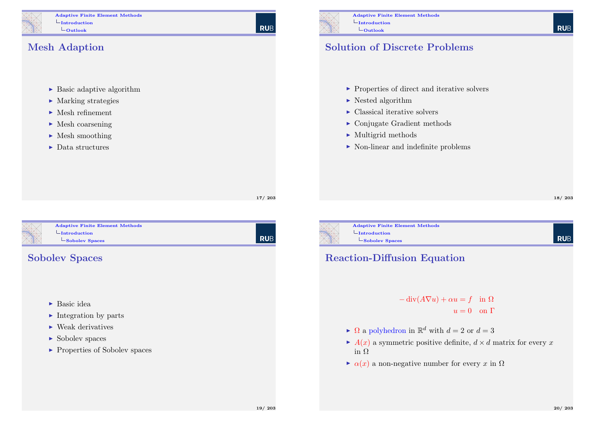Adaptive Finite Element Methods  $L_{Introduction}$  $L_{\text{Outlook}}$ 

**RUB** 

#### Mesh Adaption

- $\blacktriangleright$  Basic adaptive algorithm
- $\blacktriangleright$  Marking strategies
- $\blacktriangleright$  Mesh refinement
- $\blacktriangleright$  Mesh coarsening
- $\blacktriangleright$  Mesh smoothing
- $\blacktriangleright$  Data structures

#### Solution of Discrete Problems

- $\blacktriangleright$  Properties of direct and iterative solvers
- $\blacktriangleright$  Nested algorithm
- $\blacktriangleright$  Classical iterative solvers
- $\triangleright$  Conjugate Gradient methods
- $\blacktriangleright$  Multigrid methods
- $\triangleright$  Non-linear and indefinite problems

**RUB** 

17/ 203

<span id="page-4-0"></span>

Adaptive Finite Element Methods  $L$ [Introduction](#page-0-0) [Sob](#page-4-0)olev Spaces

### Sobolev Spaces

- $\blacktriangleright$  Basic idea
- $\blacktriangleright$  Integration by parts
- $\blacktriangleright$  Weak derivatives
- $\blacktriangleright$  Sobolev spaces
- $\blacktriangleright$  Properties of Sobolev spaces





### Reaction-Diffusion Equation

 $-\text{div}(A\nabla u) + \alpha u = f$  in  $\Omega$  $u = 0$  on  $\Gamma$ 

- $\blacktriangleright$   $\Omega$  a polyhedron in  $\mathbb{R}^d$  with  $d = 2$  or  $d = 3$
- $\blacktriangleright$  A(x) a symmetric positive definite,  $d \times d$  matrix for every x in Ω
- $\triangleright$   $\alpha(x)$  a non-negative number for every x in  $\Omega$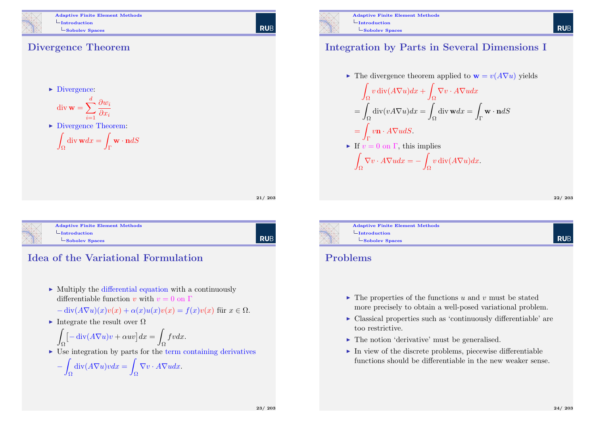

Adaptive Finite Element Methods  $L_{Introduction}$ LSobolev Spaces

#### Divergence Theorem

 $\blacktriangleright$  Divergence:

$$
\operatorname{div} \mathbf{w} = \sum_{i=1}^{d} \frac{\partial w_i}{\partial x_i}
$$

▶ Divergence Theorem:

$$
\int_{\Omega} \operatorname{div} \mathbf{w} dx = \int_{\Gamma} \mathbf{w} \cdot \mathbf{n} dS
$$

| 21/203 |
|--------|
|        |
|        |

**RUB** 

<span id="page-5-0"></span>

Adaptive Finite Element Methods  $L_{\text{Introduction}}$  $L_{\text{Introduction}}$  $L_{\text{Introduction}}$  $\mathsf{\mathsf{L}}$ [Sob](#page-5-0)olev Spaces

l rub

### Idea of the Variational Formulation

 $\triangleright$  Multiply the differential equation with a continuously differentiable function v with  $v = 0$  on  $\Gamma$ 

$$
-\operatorname{div}(A\nabla u)(x)v(x) + \alpha(x)u(x)v(x) = f(x)v(x)
$$
 für  $x \in \Omega$ .

Integrate the result over  $\Omega$ 

$$
\int_{\Omega} \left[ -\operatorname{div}(A \nabla u) v + \alpha u v \right] dx = \int_{\Omega} f v dx.
$$

 $\triangleright$  Use integration by parts for the term containing derivatives

$$
-\int_{\Omega} \operatorname{div}(A\nabla u)v dx = \int_{\Omega} \nabla v \cdot A\nabla u dx.
$$



#### Integration by Parts in Several Dimensions I

▶ The divergence theorem applied to 
$$
\mathbf{w} = v(A\nabla u)
$$
 yields

\n
$$
\int_{\Omega} v \operatorname{div}(A\nabla u) dx + \int_{\Omega} \nabla v \cdot A\nabla u dx
$$
\n
$$
= \int_{\Omega} \operatorname{div}(v A\nabla u) dx = \int_{\Omega} \operatorname{div} \mathbf{w} dx = \int_{\Gamma} \mathbf{w} \cdot \mathbf{n} dS
$$
\n
$$
= \int_{\Gamma} v \mathbf{n} \cdot A\nabla u dS.
$$
\n▶ If  $v = 0$  on  $\Gamma$ , this implies

\n
$$
\int_{\Omega} \nabla v \cdot A\nabla u dx = - \int_{\Omega} v \operatorname{div}(A\nabla u) dx.
$$

22/ 203

**RUE** 



Adaptive Finite Element Methods  $\mathsf{\mathsf{L}}$ Sobolev Spaces

#### Problems

- $\blacktriangleright$  The properties of the functions u and v must be stated more precisely to obtain a well-posed variational problem.
- $\triangleright$  Classical properties such as 'continuously differentiable' are too restrictive.
- $\blacktriangleright$  The notion 'derivative' must be generalised.
- $\blacktriangleright$  In view of the discrete problems, piecewise differentiable functions should be differentiable in the new weaker sense.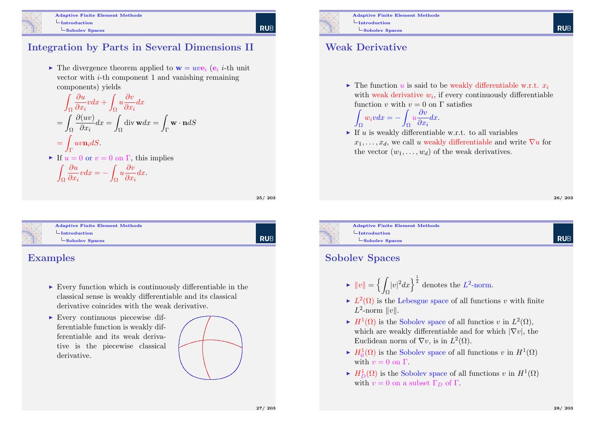

#### Integration by Parts in Several Dimensions II

 $\triangleright$  The divergence theorem applied to  $\mathbf{w} = u v \mathbf{e}_i$  ( $\mathbf{e}_i$  *i*-th unit vector with  $i$ -th component 1 and vanishing remaining components) yields

$$
\int_{\Omega} \frac{\partial u}{\partial x_i} v dx + \int_{\Omega} u \frac{\partial v}{\partial x_i} dx
$$
  
= 
$$
\int_{\Omega} \frac{\partial (uv)}{\partial x_i} dx = \int_{\Omega} \text{div } \mathbf{w} dx = \int_{\Gamma} \mathbf{w} \cdot \mathbf{n} dS
$$
  
= 
$$
\int_{\Gamma} u v \mathbf{n}_i dS.
$$
  
• If  $u = 0$  or  $v = 0$  on  $\Gamma$ , this implies  

$$
\int_{\Omega} \frac{\partial u}{\partial x_i} v dx = - \int_{\Omega} u \frac{\partial v}{\partial x_i} dx.
$$

25/ 203

| Rub

**RUB** 

<span id="page-6-0"></span>

| <b>Adaptive Finite Element Methods</b> |
|----------------------------------------|
| $\overline{-}$ Introduction            |
| -Sobolev Spaces                        |
|                                        |

#### Examples

- $\triangleright$  Every function which is continuously differentiable in the classical sense is weakly differentiable and its classical derivative coincides with the weak derivative.
- $\blacktriangleright$  Every continuous piecewise differentiable function is weakly differentiable and its weak derivative is the piecewise classical derivative.





Adaptive Finite Element Methods  $L$ Introduction LSobolev Spaces

#### Weak Derivative

Z

 $\triangleright$  The function u is said to be weakly differentiable w.r.t.  $x_i$ with weak derivative  $w_i$ , if every continuously differentiable function v with  $v = 0$  on  $\Gamma$  satisfies

$$
\int_{\Omega} w_i v dx = - \int_{\Omega} u \frac{\partial v}{\partial x_i} dx.
$$

If u is weakly differentiable w.r.t. to all variables  $x_1, \ldots, x_d$ , we call u weakly differentiable and write  $\nabla u$  for the vector  $(w_1, \ldots, w_d)$  of the weak derivatives.

26/ 203

**RUE** 



#### Sobolev Spaces

- $\blacktriangleright$   $||v|| = \{$ Ω  $|v|^2 dx$  denotes the  $L^2$ -norm.
- $\blacktriangleright$   $L^2(\Omega)$  is the Lebesgue space of all functions v with finite  $L^2$ -norm  $||v||$ .
- $\blacktriangleright$   $H^1(\Omega)$  is the Sobolev space of all functios v in  $L^2(\Omega)$ , which are weakly differentiable and for which  $|\nabla v|$ , the Euclidean norm of  $\nabla v$ , is in  $L^2(\Omega)$ .
- $\blacktriangleright$   $H_0^1(\Omega)$  is the Sobolev space of all functions v in  $H^1(\Omega)$ with  $v = 0$  on  $\Gamma$ .
- $\blacktriangleright$   $H_D^1(\Omega)$  is the Sobolev space of all functions v in  $H^1(\Omega)$ with  $v = 0$  on a subset  $\Gamma_D$  of  $\Gamma$ .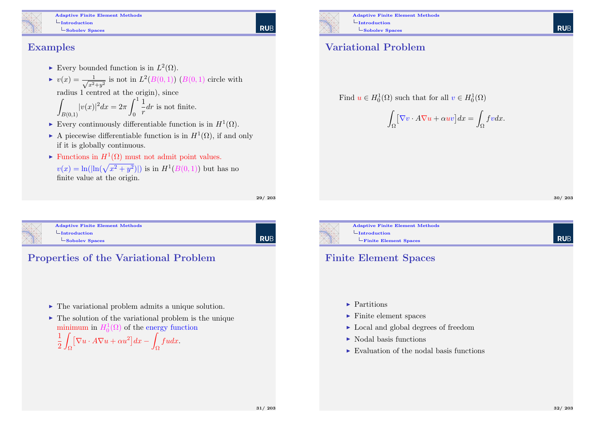Adaptive Finite Element Methods  $L$ Introduction LSobolev Spaces

#### Examples

- Every bounded function is in  $L^2(\Omega)$ .
- $\blacktriangleright v(x) = \frac{1}{\sqrt{2}}$  $\frac{1}{x^2+y^2}$  is not in  $L^2(B(0,1))$   $(B(0,1)$  circle with radius 1 centred at the origin), since

$$
\int_{B(0,1)} |v(x)|^2 dx = 2\pi \int_0^1 \frac{1}{r} dr
$$
 is not finite.

- Every continuously differentiable function is in  $H^1(\Omega)$ .
- A piecewise differentiable function is in  $H^1(\Omega)$ , if and only if it is globally continuous.
- ► Functions in  $H^1(\Omega)$  must not admit point values.  $v(x) = \ln(|\ln(\sqrt{x^2 + y^2})|)$  is in  $H^1(B(0, 1))$  but has no finite value at the origin.

29/ 203

| RUB

<span id="page-7-0"></span>

| <b>Adaptive Finite Element Methods</b> |
|----------------------------------------|
| $-Introduction$                        |
| -Sobolev Spaces                        |
|                                        |



#### Properties of the Variational Problem

- $\blacktriangleright$  The variational problem admits a unique solution.
- $\triangleright$  The solution of the variational problem is the unique minimum in  $H_0^1(\Omega)$  of the energy function

1 2 Z  $\Omega$  $[\nabla u \cdot A\nabla u + \alpha u^2]dx \Omega$ fudx.



Adaptive Finite Element Methods  $L$ Introduction LSobolev Spaces

#### Variational Problem

Find  $u \in H_0^1(\Omega)$  such that for all  $v \in H_0^1(\Omega)$ 

$$
\int_{\Omega}\bigl[\nabla v\cdot A\nabla u+\alpha uv\bigr]dx=\int_{\Omega}fvdx.
$$

**RUE** 



Adaptive Finite Element Methods  $L$ Introduction Finite Element Spaces

#### Finite Element Spaces

- $\blacktriangleright$  Partitions
- $\blacktriangleright$  Finite element spaces
- ► Local and global degrees of freedom
- $\blacktriangleright$  Nodal basis functions
- $\triangleright$  Evaluation of the nodal basis functions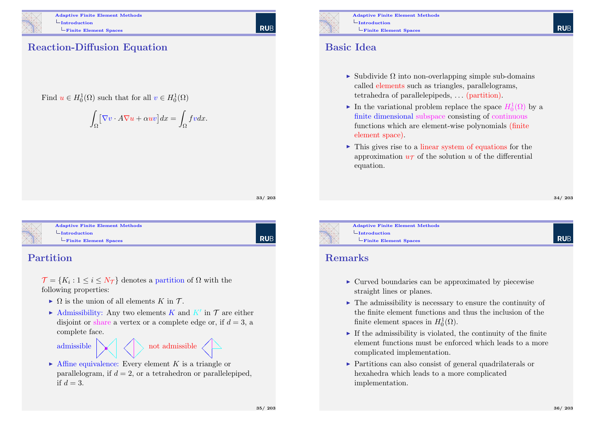

Adaptive Finite Element Methods  $L$ Introduction Finite Element Spaces

**RUE** 

### Reaction-Diffusion Equation

Find  $u \in H_0^1(\Omega)$  such that for all  $v \in H_0^1(\Omega)$ 

$$
\int_{\Omega} \left[ \nabla v \cdot A \nabla u + \alpha uv \right] dx = \int_{\Omega} f v dx.
$$

33/ 203

RUB

<span id="page-8-0"></span>

|  | <b>Adaptive Finite Element Methods</b> |  |
|--|----------------------------------------|--|
|  | -Introduction                          |  |
|  | Finite Element Spaces                  |  |
|  |                                        |  |

#### Partition

 $\mathcal{T} = \{K_i : 1 \leq i \leq N_{\mathcal{T}}\}\$ denotes a partition of  $\Omega$  with the following properties:

- $\triangleright$   $\Omega$  is the union of all elements K in T.
- Admissibility: Any two elements K and  $K'$  in T are either disjoint or share a vertex or a complete edge or, if  $d = 3$ , a complete face.

admissible  $\sum_{i=1}^n$  $\bigvee$  $\diagup$  $\searrow$  $\diagup$  $\diagup$  $\diagup$  $\diagup$ not admissible  $\angle$ ❅❅  $\sum$ 

 $\triangleright$  Affine equivalence: Every element K is a triangle or parallelogram, if  $d = 2$ , or a tetrahedron or parallelepiped. if  $d = 3$ .



Adaptive Finite Element Methods  $L$ Introduction Finite Element Spaces

#### Basic Idea

- $\triangleright$  Subdivide  $\Omega$  into non-overlapping simple sub-domains called elements such as triangles, parallelograms, tetrahedra of parallelepipeds, . . . (partition).
- In the variational problem replace the space  $H_0^1(\Omega)$  by a finite dimensional subspace consisting of continuous functions which are element-wise polynomials (finite element space).
- $\triangleright$  This gives rise to a linear system of equations for the approximation  $u_{\mathcal{T}}$  of the solution u of the differential equation.

34/ 203

**RUE** 



Adaptive Finite Element Methods  $L$ Introduction Finite Element Spaces

#### Remarks

- $\triangleright$  Curved boundaries can be approximated by piecewise straight lines or planes.
- $\triangleright$  The admissibility is necessary to ensure the continuity of the finite element functions and thus the inclusion of the finite element spaces in  $H_0^1(\Omega)$ .
- $\blacktriangleright$  If the admissibility is violated, the continuity of the finite element functions must be enforced which leads to a more complicated implementation.
- $\triangleright$  Partitions can also consist of general quadrilaterals or hexahedra which leads to a more complicated implementation.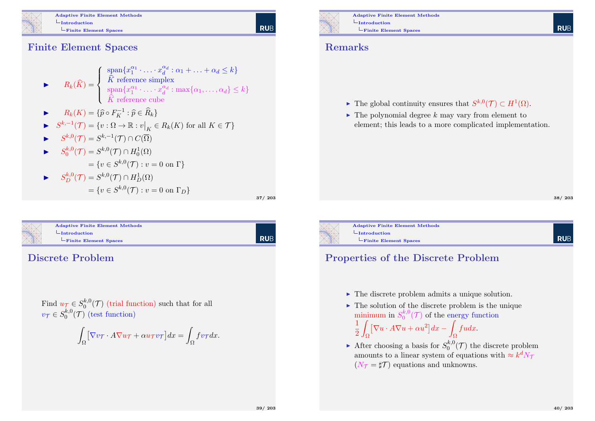

Adaptive Finite Element Methods  $L_{\rm Introduction}$ Finite Element Spaces

**RUB** 

Finite Element Spaces

$$
\blacktriangleright \qquad R_k(\widehat{K}) = \begin{cases} \text{span}\{x_1^{\alpha_1} \cdot \ldots \cdot x_d^{\alpha_d} : \alpha_1 + \ldots + \alpha_d \le k\} \\ \widehat{K} \text{ reference simplex} \\ \text{span}\{x_1^{\alpha_1} \cdot \ldots \cdot x_d^{\alpha_d} : \max\{\alpha_1, \ldots, \alpha_d\} \le k\} \\ \widehat{K} \text{ reference cube} \end{cases}
$$

$$
\blacktriangleright \qquad R_k(K) = \{ \widehat{p} \circ F_K^{-1} : \widehat{p} \in \widehat{R}_k \}
$$

$$
\blacktriangleright \quad S^{k,-1}(\mathcal{T}) = \{ v : \Omega \to \mathbb{R} : v \big|_K \in R_k(K) \text{ for all } K \in \mathcal{T} \}
$$

$$
\blacktriangleright \qquad S^{k,0}(\mathcal{T}) = S^{k,-1}(\mathcal{T}) \cap C(\overline{\Omega})
$$

$$
\triangleright S_0^{k,0}(\mathcal{T}) = S^{k,0}(\mathcal{T}) \cap H_0^1(\Omega)
$$
  
=  $\{v \in S^{k,0}(\mathcal{T}) : v = 0 \text{ on } \Gamma\}$ 

$$
\triangleright S_D^{k,0}(\mathcal{T}) = S^{k,0}(\mathcal{T}) \cap H_D^1(\Omega)
$$
  
=  $\{v \in S^{k,0}(\mathcal{T}) : v = 0 \text{ on } \Gamma_D\}$ 

37/ 203

| RUB

<span id="page-9-0"></span>

| <b>Adaptive Finite Element Methods</b> |  |
|----------------------------------------|--|
| $\Box$ Introduction                    |  |
|                                        |  |
| Finite Element Spaces                  |  |
|                                        |  |

#### Discrete Problem

Find  $u_{\mathcal{T}} \in S_0^{k,0}$  $_{0}^{\kappa,0}(\mathcal{T})$  (trial function) such that for all  $v_{\mathcal{T}}\in S^{k,0}_0$  $\binom{k,0}{0}$  (test function)

$$
\int_{\Omega} \left[ \nabla v_{\mathcal{T}} \cdot A \nabla u_{\mathcal{T}} + \alpha u_{\mathcal{T}} v_{\mathcal{T}} \right] dx = \int_{\Omega} f v_{\mathcal{T}} dx.
$$



Adaptive Finite Element Methods  $L$ Introduction Finite Element Spaces

#### Remarks

- ► The global continuity ensures that  $S^{k,0}(\mathcal{T}) \subset H^1(\Omega)$ .
- $\blacktriangleright$  The polynomial degree k may vary from element to element; this leads to a more complicated implementation.

38/ 203

**RUB** 

**RUE** 



#### Properties of the Discrete Problem

- $\blacktriangleright$  The discrete problem admits a unique solution.
- $\blacktriangleright$  The solution of the discrete problem is the unique minimum in  $S_0^{k,0}$  $\int_0^{\kappa,0}$  (*T*) of the energy function

$$
\frac{1}{2} \int_{\Omega} \left[ \nabla u \cdot A \nabla u + \alpha u^2 \right] dx - \int_{\Omega} f u dx.
$$

After choosing a basis for  $S_0^{k,0}$  $\binom{k,0}{0}$  the discrete problem amounts to a linear system of equations with  $\approx k^d N$  $(N_{\mathcal{T}} = \sharp \mathcal{T})$  equations and unknowns.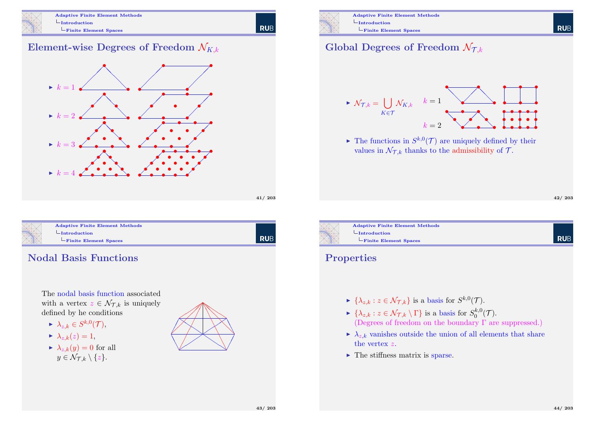

Adaptive Finite Element Methods  $L$ Introduction Finite Element Spaces

#### Element-wise Degrees of Freedom  $\mathcal{N}_{K,k}$



<span id="page-10-0"></span>

#### Adaptive Finite Element Methods  $L$ [Introduction](#page-0-0) [Fin](#page-10-0)ite Element Spaces

| RUB

41/ 203

**RUB** 

#### Nodal Basis Functions

The nodal basis function associated with a vertex  $z \in \mathcal{N}_{\mathcal{T},k}$  is uniquely defined by he conditions

- $\blacktriangleright \ \lambda_{z,k} \in S^{k,0}(\mathcal{T}),$
- $\blacktriangleright \lambda_{z,k}(z) = 1,$
- $\blacktriangleright \lambda_{z,k}(y) = 0$  for all  $y \in \mathcal{N}_{\mathcal{T},k} \setminus \{z\}.$





### Global Degrees of Freedom  $\mathcal{N}_{\mathcal{I},k}$



 $\blacktriangleright$  The functions in  $S^{k,0}(\mathcal{T})$  are uniquely defined by their values in  $\mathcal{N}_{\mathcal{L},k}$  thanks to the admissibility of  $\mathcal{T}$ .

**RUE** 



# Finite Element Spaces

#### Properties

- $\blacktriangleright \{\lambda_{z,k} : z \in \mathcal{N}_{\mathcal{T},k}\}\$ is a basis for  $S^{k,0}(\mathcal{T})$ .
- $\blacktriangleright \{\lambda_{z,k} : z \in \mathcal{N}_{\mathcal{T},k} \setminus \Gamma\}$  is a basis for  $S_0^{k,0}$  $\binom{\kappa,0}{0}$  $(\mathcal{T}).$ (Degrees of freedom on the boundary  $\Gamma$  are suppressed.)
- $\blacktriangleright \lambda_{z,k}$  vanishes outside the union of all elements that share the vertex z.
- $\blacktriangleright$  The stiffness matrix is sparse.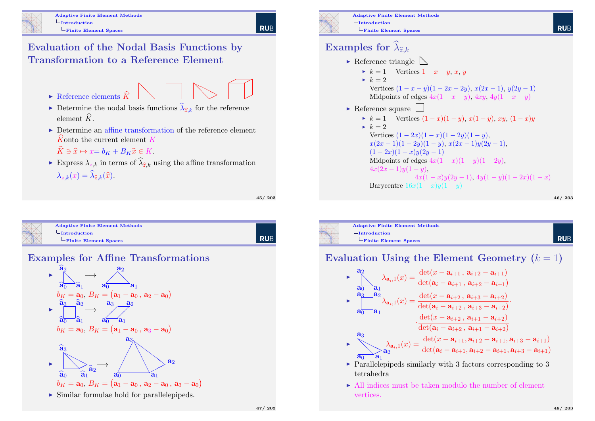**RUE** 

Evaluation of the Nodal Basis Functions by Transformation to a Reference Element

- $\blacktriangleright$  Reference elements  $\widehat{K}$ ❅❅  $\searrow$  $\diagup$  $>$  $\diagup$ ✟  $\overline{\phantom{a}}$
- Determine the nodal basis functions  $\lambda_{\hat{z},k}$  for the reference element  $\widehat{K}$ .
- $\triangleright$  Determine an affine transformation of the reference element  $\hat{K}$  onto the current element K
	- $\widehat{K} \ni \widehat{x} \mapsto x = b_K + B_K \widehat{x} \in K.$
- Express  $\lambda_{z,k}$  in terms of  $\lambda_{\hat{z},k}$  using the affine transformation  $\lambda_{z,k}(x) = \lambda_{\widehat{z},k}(\widehat{x}).$

45/ 203

**RUB** 

<span id="page-11-0"></span>

| <b>Adaptive Finite Element Methods</b> |  |
|----------------------------------------|--|
| $\vdash$ Introduction                  |  |
| $-Finite$ Element Spaces               |  |
|                                        |  |





 $\triangleright$  Similar formulae hold for parallelepipeds.



Adaptive Finite Element Methods  $L$ Introduction Finite Element Spaces

# Examples for  $\lambda_{\widehat{z},k}$

- $\blacktriangleright$  Reference triangle  $\blacktriangleright$  $\blacktriangleright k = 1$  Vertices  $1 - x - y$ , x, y  $\blacktriangleright k = 2$ 
	- Vertices  $(1 x y)(1 2x 2y)$ ,  $x(2x 1)$ ,  $y(2y 1)$ Midpoints of edges  $4x(1-x-y)$ ,  $4xy$ ,  $4y(1-x-y)$
- $\blacktriangleright$  Reference square

$$
\triangleright k = 1 \quad \text{Vertices } (1-x)(1-y), \, x(1-y), \, xy, \, (1-x)y
$$

$$
k = 2
$$
  
Vertices  $(1 - 2x)(1 - x)(1 - 2y)(1 - y),$   
 $x(2x - 1)(1 - 2y)(1 - y), x(2x - 1)y(2y - 1),$   
 $(1 - 2x)(1 - x)y(2y - 1)$   
Midpoints of edges  $4x(1 - x)(1 - y)(1 - 2y),$   
 $4x(2x - 1)y(1 - y),$   
 $4x(1 - x)y(2y - 1), 4y(1 - y)(1 - 2x)(1 - x)$   
Baycentre  $16x(1 - x)y(1 - y)$ 

46/ 203



Evaluation Using the Element Geometry  $(k = 1)$ 

$$
\sum_{\mathbf{a}_0}^{a_2} \lambda_{\mathbf{a}_i,1}(x) = \frac{\det(x - \mathbf{a}_{i+1}, \mathbf{a}_{i+2} - \mathbf{a}_{i+1})}{\det(\mathbf{a}_i - \mathbf{a}_{i+1}, \mathbf{a}_{i+2} - \mathbf{a}_{i+1})}
$$
\n
$$
\sum_{\mathbf{a}_0}^{a_3} \lambda_{\mathbf{a}_i,1}(x) = \frac{\det(x - \mathbf{a}_{i+2}, \mathbf{a}_{i+3} - \mathbf{a}_{i+2})}{\det(\mathbf{a}_i - \mathbf{a}_{i+2}, \mathbf{a}_{i+3} - \mathbf{a}_{i+2})} \cdot \frac{\det(x - \mathbf{a}_{i+2}, \mathbf{a}_{i+3} - \mathbf{a}_{i+2})}{\det(\mathbf{a}_i - \mathbf{a}_{i+2}, \mathbf{a}_{i+1} - \mathbf{a}_{i+2})}
$$
\n
$$
\sum_{\mathbf{a}_0}^{a_3} \lambda_{\mathbf{a}_i,1}(x) = \frac{\det(x - \mathbf{a}_{i+1}, \mathbf{a}_{i+2} - \mathbf{a}_{i+1}, \mathbf{a}_{i+3} - \mathbf{a}_{i+1})}{\det(\mathbf{a}_i - \mathbf{a}_{i+1}, \mathbf{a}_{i+2} - \mathbf{a}_{i+1}, \mathbf{a}_{i+3} - \mathbf{a}_{i+1})}
$$

- $\triangleright$  Parallelepipeds similarly with 3 factors corresponding to 3 tetrahedra
- $\triangleright$  All indices must be taken modulo the number of element vertices.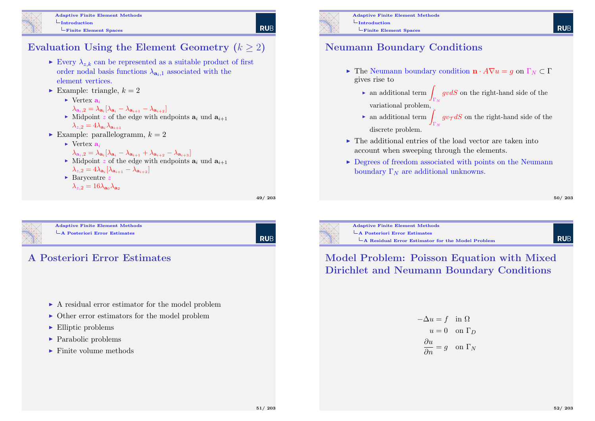

Adaptive Finite Element Methods  $L$ Introduction Finite Element Spaces

### **RUB**

### Evaluation Using the Element Geometry  $(k \geq 2)$

- Every  $\lambda_{z,k}$  can be represented as a suitable product of first order nodal basis functions  $\lambda_{a_{i},1}$  associated with the element vertices.
- Example: triangle,  $k = 2$ 
	- $\blacktriangleright$  Vertex  $a_i$ 
		- $\lambda_{\mathbf{a}_i,2}=\lambda_{\mathbf{a}_i}[\lambda_{\mathbf{a}_i}-\lambda_{\mathbf{a}_{i+1}}-\lambda_{\mathbf{a}_{i+2}}]$
	- $\blacktriangleright$  Midpoint z of the edge with endpoints  $a_i$  und  $a_{i+1}$  $\lambda_{z,2} = 4\lambda_{\mathbf{a}_i}\lambda_{\mathbf{a}_{i+1}}$
- Example: parallelogramm,  $k = 2$ 
	- $\blacktriangleright$  Vertex  $a_i$

$$
\lambda_{\mathbf{a}_i,2}=\lambda_{\mathbf{a}_i}[\lambda_{\mathbf{a}_i}-\lambda_{\mathbf{a}_{i+1}}+\lambda_{\mathbf{a}_{i+2}}-\lambda_{\mathbf{a}_{i+3}}]
$$

- $\blacktriangleright$  Midpoint z of the edge with endpoints  $a_i$  und  $a_{i+1}$
- $\lambda_{z,2}=4\lambda_{\mathbf{a}_i}[\lambda_{\mathbf{a}_{i+1}}-\lambda_{\mathbf{a}_{i+2}}]$  $\blacktriangleright$  Barycentre z
- $\lambda_{z,2} = 16\lambda_{\mathbf{a}_0}\lambda_{\mathbf{a}_2}$

49/ 203

<span id="page-12-0"></span>

#### Adaptive Finite Element Methods [A Posteriori Error Estim](#page-0-0)ates

RUB



- $\triangleright$  A residual error estimator for the model problem
- $\triangleright$  Other error estimators for the model problem
- $\blacktriangleright$  Elliptic problems
- $\blacktriangleright$  Parabolic problems
- $\blacktriangleright$  Finite volume methods



Adaptive Finite Element Methods  $L$ Introduction Finite Element Spaces

### Neumann Boundary Conditions

- Figure 1 The Neumann boundary condition  $\mathbf{n} \cdot A \nabla u = q$  on  $\Gamma_N \subset \Gamma$ gives rise to
	- ight-hand side of the number of the right-hand side of the  $\Gamma_N$ variational problem,
	- an additional term  $\int g v_{\mathcal{T}} dS$  on the right-hand side of the  $\Gamma_N$ discrete problem.
- $\triangleright$  The additional entries of the load vector are taken into account when sweeping through the elements.
- $\triangleright$  Degrees of freedom associated with points on the Neumann boundary  $\Gamma_N$  are additional unknowns.

#### 50/ 203



Adaptive Finite Element Methods A Posteriori Error Estimates A Residual Error Estimator for the Model Problem

# **RUB**

#### Model Problem: Poisson Equation with Mixed Dirichlet and Neumann Boundary Conditions

$$
-\Delta u = f \text{ in } \Omega
$$

$$
u = 0 \text{ on } \Gamma_D
$$

$$
\frac{\partial u}{\partial n} = g \text{ on } \Gamma_N
$$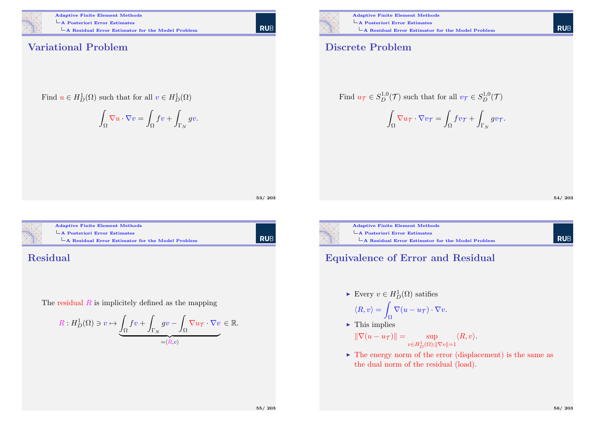

Adaptive Finite Element Methods A Posteriori Error Estimates  $L$ A Residual Error Estimator for the Model Problem

| RUB

#### Variational Problem

Find 
$$
u \in H_D^1(\Omega)
$$
 such that for all  $v \in H_D^1(\Omega)$ 

$$
\int_{\Omega} \nabla u \cdot \nabla v = \int_{\Omega} fv + \int_{\Gamma_N} gv.
$$

#### Discrete Problem

Find 
$$
u_{\mathcal{T}} \in S_D^{1,0}(\mathcal{T})
$$
 such that for all  $v_{\mathcal{T}} \in S_D^{1,0}(\mathcal{T})$ 

$$
\int_{\Omega} \nabla u_{\mathcal{T}} \cdot \nabla v_{\mathcal{T}} = \int_{\Omega} f v_{\mathcal{T}} + \int_{\Gamma_N} g v_{\mathcal{T}}.
$$

54/ 203

**RUB** 

**RUB** 



#### Adaptive Finite Element Methods [A Posteriori Error Estim](#page-0-0)ates

 $\mathsf{\mathsf{L}}$  [A Residual Error E](#page-13-0)stimator for the Model Problem

#### <span id="page-13-0"></span>Residual

The residual  $R$  is implicitely defined as the mapping

$$
R: H_D^1(\Omega) \ni v \mapsto \underbrace{\int_{\Omega} f v + \int_{\Gamma_N} g v - \int_{\Omega} \nabla u_{\mathcal{T}} \cdot \nabla v}_{= (R, v)} \in \mathbb{R}.
$$



53/ 203

Adaptive Finite Element Methods A Posteriori Error Estimates  $\mathsf{L}_{\mathbf{A}}$  Residual Error Estimator for the Model Problem

### Equivalence of Error and Residual

Every  $v \in H_D^1(\Omega)$  satifies

$$
\langle R, v \rangle = \int_{\Omega} \nabla (u - u_{\mathcal{T}}) \cdot \nabla v.
$$

 $\blacktriangleright$  This implies

$$
\|\nabla(u - u_{\mathcal{T}})\| = \sup_{v \in H^1_D(\Omega); \|\nabla v\| = 1} \langle R, v \rangle.
$$

 $\triangleright$  The energy norm of the error (displacement) is the same as the dual norm of the residual (load).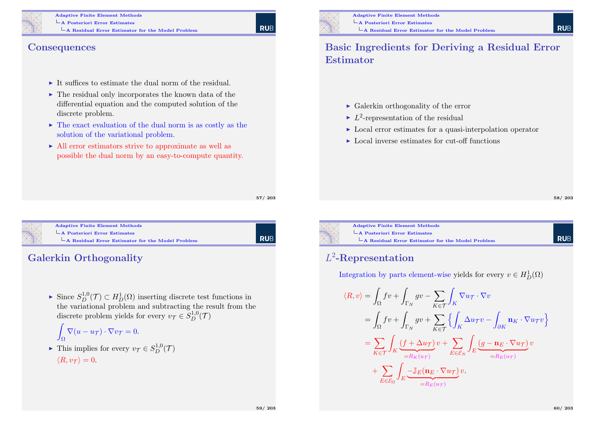

#### Adaptive Finite Element Methods A Posteriori Error Estimates  $\mathsf{\mathsf{L}}$  A Residual Error Estimator for the Model Problem

#### **Consequences**

- $\blacktriangleright$  It suffices to estimate the dual norm of the residual.
- $\triangleright$  The residual only incorporates the known data of the differential equation and the computed solution of the discrete problem.
- $\triangleright$  The exact evaluation of the dual norm is as costly as the solution of the variational problem.
- $\blacktriangleright$  All error estimators strive to approximate as well as possible the dual norm by an easy-to-compute quantity.

57/ 203

| Rub

<span id="page-14-0"></span>

#### Adaptive Finite Element Methods [A Posteriori Error Estim](#page-0-0)ates [A Residual Error E](#page-14-0)stimator for the Model Problem

### Galerkin Orthogonality

► Since  $S_D^{1,0}(\mathcal{T}) \subset H_D^1(\Omega)$  inserting discrete test functions in the variational problem and subtracting the result from the discrete problem yields for every  $v_{\mathcal{T}} \in S_{D}^{1,0}(\mathcal{T})$ 

$$
\int_{\Omega} \nabla (u - u_{\mathcal{T}}) \cdot \nabla v_{\mathcal{T}} = 0.
$$

► This implies for every  $v_{\mathcal{T}} \in S_D^{1,0}(\mathcal{T})$  $\langle R, v_{\mathcal{T}} \rangle = 0.$ 



#### Basic Ingredients for Deriving a Residual Error Estimator

- $\blacktriangleright$  Galerkin orthogonality of the error
- $\blacktriangleright$   $L^2$ -representation of the residual
- $\triangleright$  Local error estimates for a quasi-interpolation operator
- $\triangleright$  Local inverse estimates for cut-off functions

58/ 203

**RUE** 

Adaptive Finite Element Methods A Posteriori Error Estimates

# A Residual Error Estimator for the Model Problem

### L 2 -Representation

Integration by parts element-wise yields for every  $v \in H_D^1(\Omega)$ 

$$
\langle R, v \rangle = \int_{\Omega} f v + \int_{\Gamma_N} g v - \sum_{K \in \mathcal{T}} \int_K \nabla u \tau \cdot \nabla v
$$
  
\n
$$
= \int_{\Omega} f v + \int_{\Gamma_N} g v + \sum_{K \in \mathcal{T}} \left\{ \int_K \Delta u \tau v - \int_{\partial K} \mathbf{n}_K \cdot \nabla u \tau v \right\}
$$
  
\n
$$
= \sum_{K \in \mathcal{T}} \int_K \underbrace{(f + \Delta u \tau)}_{=R_K(u\tau)} v + \sum_{E \in \mathcal{E}_N} \int_E \underbrace{(g - \mathbf{n}_E \cdot \nabla u \tau)}_{=R_E(u\tau)} v
$$
  
\n
$$
+ \sum_{E \in \mathcal{E}_\Omega} \int_E \underbrace{-\mathbb{J}_E(\mathbf{n}_E \cdot \nabla u \tau)}_{=R_E(u\tau)} v.
$$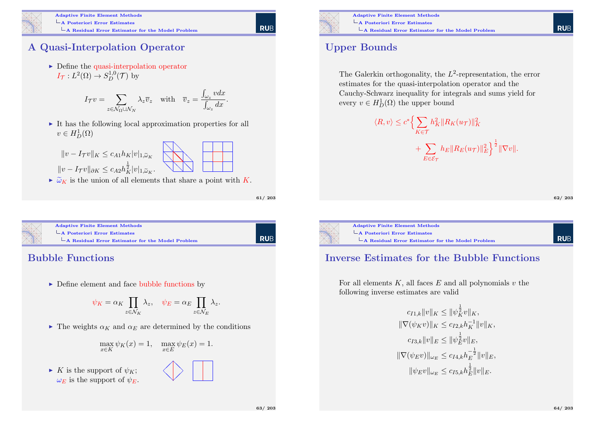

#### Adaptive Finite Element Methods A Posteriori Error Estimates

 $\mathsf{\mathsf{L}}$  A Residual Error Estimator for the Model Problem

### A Quasi-Interpolation Operator

 $\triangleright$  Define the quasi-interpolation operator  $I_{\mathcal{T}}: L^2(\Omega) \to S_D^{1,0}(\mathcal{T})$  by

$$
I_{\mathcal{T}}v = \sum_{z \in \mathcal{N}_{\Omega} \cup \mathcal{N}_{N}} \lambda_{z} \overline{v}_{z} \quad \text{with} \quad \overline{v}_{z} = \frac{\int_{\omega_{z}} v dx}{\int_{\omega_{z}} dx}
$$

 $\triangleright$  It has the following local approximation properties for all  $v \in H_D^1(\Omega)$ 

$$
||v - I_{\mathcal{T}}v||_K \leq c_{A1} h_K |v|_{1, \widetilde{\omega}_K}
$$
  

$$
||v - I_{\mathcal{T}}v||_{\partial K} \leq c_{A2} h_K^{\frac{1}{2}} |v|_{1, \widetilde{\omega}_K}.
$$

 $\sim \widetilde{\omega}_K$  is the union of all elements that share a point with K.

61/ 203

| Rub

**RUE** 

.

<span id="page-15-0"></span>

### Bubble Functions

 $\blacktriangleright$  Define element and face bubble functions by

$$
\psi_K = \alpha_K \prod_{z \in \mathcal{N}_K} \lambda_z, \quad \psi_E = \alpha_E \prod_{z \in \mathcal{N}_E} \lambda_z.
$$

 $\triangleright$  The weights  $\alpha_K$  and  $\alpha_E$  are determined by the conditions

$$
\max_{x \in K} \psi_K(x) = 1, \quad \max_{x \in E} \psi_E(x) = 1.
$$

 $\blacktriangleright$  K is the support of  $\psi_K$ ;  $\omega_E$  is the support of  $\psi_E$ .





### Upper Bounds

The Galerkin orthogonality, the  $L^2$ -representation, the error estimates for the quasi-interpolation operator and the Cauchy-Schwarz inequality for integrals and sums yield for every  $v \in H_D^1(\Omega)$  the upper bound

$$
\langle R, v \rangle \le c^* \Big\{ \sum_{K \in \mathcal{T}} h_K^2 \| R_K(u_{\mathcal{T}}) \|_K^2 + \sum_{E \in \mathcal{E}_{\mathcal{T}}} h_E \| R_E(u_{\mathcal{T}}) \|_E^2 \Big\}^{\frac{1}{2}} \| \nabla v \|.
$$

$$
62/\;203
$$

**RUB** 



# A Residual Error Estimator for the Model Problem

#### Inverse Estimates for the Bubble Functions

For all elements  $K$ , all faces  $E$  and all polynomials  $v$  the following inverse estimates are valid

$$
c_{I1,k}||v||_K \le ||\psi_K^{\frac{1}{2}}v||_K,
$$
  
\n
$$
||\nabla(\psi_K v)||_K \le c_{I2,k}h_K^{-1}||v||_K,
$$
  
\n
$$
c_{I3,k}||v||_E \le ||\psi_E^{\frac{1}{2}}v||_E,
$$
  
\n
$$
||\nabla(\psi_E v)||_{\omega_E} \le c_{I4,k}h_E^{-\frac{1}{2}}||v||_E,
$$
  
\n
$$
||\psi_E v||_{\omega_E} \le c_{I5,k}h_E^{\frac{1}{2}}||v||_E.
$$

**RUE**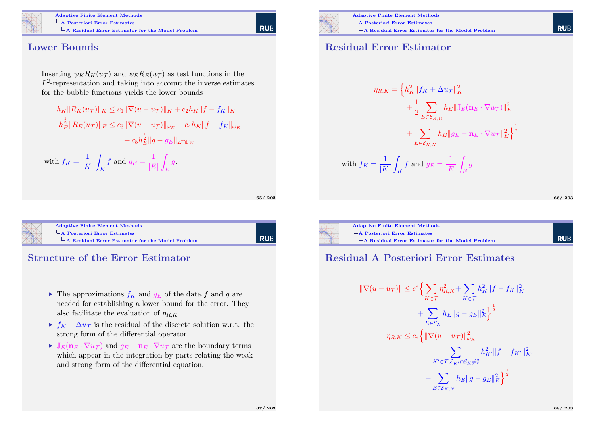

Adaptive Finite Element Methods A Posteriori Error Estimates  $\mathsf{\mathsf{L}}$  A Residual Error Estimator for the Model Problem

#### Lower Bounds

Inserting  $\psi_K R_K(u_\mathcal{T})$  and  $\psi_E R_E(u_\mathcal{T})$  as test functions in the  $L^2$ -representation and taking into account the inverse estimates for the bubble functions yields the lower bounds

 $h_K \|R_K(u_\mathcal{T})\|_K \leq c_1 \|\nabla (u - u_\mathcal{T})\|_K + c_2 h_K \|f - f_K\|_K$  $\|h_{E}^{\frac{1}{2}}\|R_E(u_{\mathcal{T}})\|_E \leq c_3\|\nabla(u-u_{\mathcal{T}})\|_{\omega_E} + c_4h_K\|f-f_K\|_{\omega_E}$  $+ \, c_5 h_E^{\frac{1}{2}} \| g-g_E \|_{E \cap \Gamma_N}$ 

with  $f_K = \frac{1}{|K|}$  $|K|$ Z K f and  $g_E = \frac{1}{|E|}$  $\left|E\right|$ Z E  $\overline{g}$ .

| 65/203 |
|--------|
|        |

<span id="page-16-0"></span>

Adaptive Finite Element Methods [A Posteriori Error Estim](#page-0-0)ates [A Residual Error E](#page-16-0)stimator for the Model Problem

l rub

#### Structure of the Error Estimator

- $\blacktriangleright$  The approximations  $f_K$  and  $g_E$  of the data f and g are needed for establishing a lower bound for the error. They also facilitate the evaluation of  $\eta_{R,K}$ .
- $\triangleright$   $f_K + \Delta u_{\mathcal{T}}$  is the residual of the discrete solution w.r.t. the strong form of the differential operator.
- $\triangleright \mathbb{J}_E(\mathbf{n}_E \cdot \nabla u_\mathcal{T})$  and  $q_E \mathbf{n}_E \cdot \nabla u_\mathcal{T}$  are the boundary terms which appear in the integration by parts relating the weak and strong form of the differential equation.



#### Residual Error Estimator

$$
\eta_{R,K} = \left\{ h_K^2 \| f_K + \Delta u_{\mathcal{T}} \|_K^2 + \frac{1}{2} \sum_{E \in \mathcal{E}_{K,\Omega}} h_E \| \mathbb{J}_E(\mathbf{n}_E \cdot \nabla u_{\mathcal{T}}) \|_E^2 + \sum_{E \in \mathcal{E}_{K,\Omega}} h_E \| g_E - \mathbf{n}_E \cdot \nabla u_{\mathcal{T}} \|_E^2 \right\}^{\frac{1}{2}}
$$
  
with  $f_K = \frac{1}{|K|} \int_K f$  and  $g_E = \frac{1}{|E|} \int_E g$ 

| 66/ | 203 |
|-----|-----|
|-----|-----|

**RUE** 

**RUE** 



A Posteriori Error Estimates A Residual Error Estimator for the Model Problem

#### Residual A Posteriori Error Estimates

$$
\begin{aligned} \|\nabla(u - u_{\mathcal{T}})\| &\leq c^* \Big\{ \sum_{K \in \mathcal{T}} \eta_{R,K}^2 + \sum_{K \in \mathcal{T}} h_K^2 \|f - f_K\|_K^2 \\ &+ \sum_{E \in \mathcal{E}_N} h_E \|g - g_E\|_E^2 \Big\}^{\frac{1}{2}} \\ \eta_{R,K} &\leq c_* \Big\{ \|\nabla(u - u_{\mathcal{T}})\|_{\omega_K}^2 \\ &+ \sum_{K' \in \mathcal{T}; \mathcal{E}_{K'} \cap \mathcal{E}_K \neq \emptyset} h_{K'}^2 \|f - f_{K'}\|_{K'}^2 \\ &+ \sum_{E \in \mathcal{E}_{K,N}} h_E \|g - g_E\|_E^2 \Big\}^{\frac{1}{2}} \end{aligned}
$$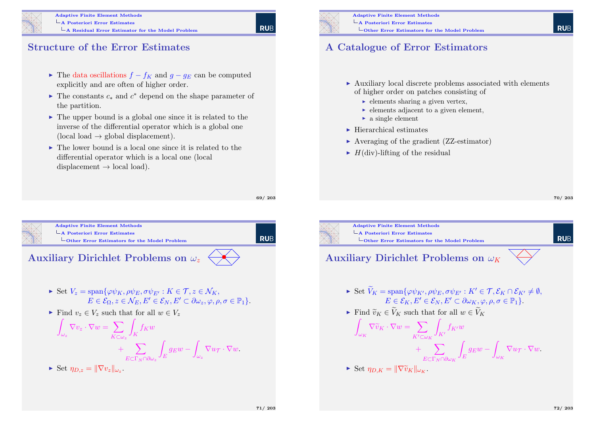

#### Adaptive Finite Element Methods A Posteriori Error Estimates  $\mathsf{\mathsf{L}}$  A Residual Error Estimator for the Model Problem

69/ 203

#### Structure of the Error Estimates

- ► The data oscillations  $f f_K$  and  $q q_E$  can be computed explicitly and are often of higher order.
- ► The constants  $c_*$  and  $c^*$  depend on the shape parameter of the partition.
- $\triangleright$  The upper bound is a global one since it is related to the inverse of the differential operator which is a global one (local load  $\rightarrow$  global displacement).
- $\triangleright$  The lower bound is a local one since it is related to the differential operator which is a local one (local displacement  $\rightarrow$  local load).



#### A Catalogue of Error Estimators

- $\triangleright$  Auxiliary local discrete problems associated with elements of higher order on patches consisting of
	- $\blacktriangleright$  elements sharing a given vertex,
	- $\blacktriangleright$  elements adjacent to a given element,
	- $\blacktriangleright$  a single element
- $\blacktriangleright$  Hierarchical estimates
- $\triangleright$  Averaging of the gradient (ZZ-estimator)
- $\blacktriangleright$  H(div)-lifting of the residual

70/ 203

**RUE** 

<span id="page-17-0"></span>

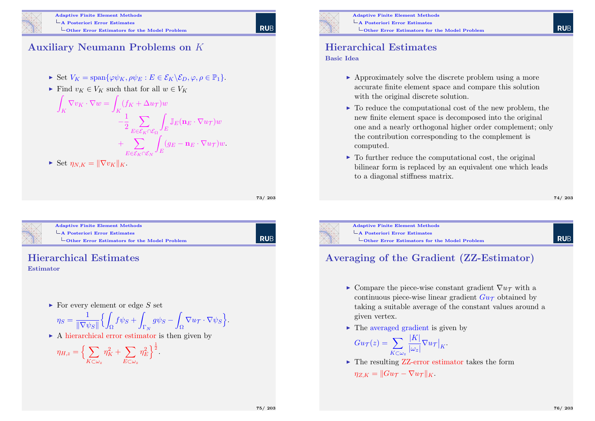

#### Adaptive Finite Element Methods A Posteriori Error Estimates  $\overline{\phantom{a}}$  Other Error Estimators for the Model Problem

### Auxiliary Neumann Problems on K

- $\triangleright$  Set  $V_K = \text{span}\{\varphi \psi_K, \rho \psi_E : E \in \mathcal{E}_K \backslash \mathcal{E}_D, \varphi, \rho \in \mathbb{P}_1\}.$
- Find  $v_K \in V_K$  such that for all  $w \in V_K$

$$
\int_{K} \nabla v_{K} \cdot \nabla w = \int_{K} (f_{K} + \Delta u_{\mathcal{T}}) w
$$
\n
$$
- \frac{1}{2} \sum_{E \in \mathcal{E}_{K} \cap \mathcal{E}_{\Omega}} \int_{E} \mathbb{J}_{E} (\mathbf{n}_{E} \cdot \nabla u_{\mathcal{T}}) w
$$
\n
$$
+ \sum_{E \in \mathcal{E}_{K} \cap \mathcal{E}_{N}} \int_{E} (g_{E} - \mathbf{n}_{E} \cdot \nabla u_{\mathcal{T}}) w.
$$

$$
\blacktriangleright \text{ Set } \eta_{N,K} = \|\nabla v_K\|_K.
$$

73/ 203

**RUE** 

<span id="page-18-0"></span>

#### Adaptive Finite Element Methods [A Posteriori Error Estim](#page-0-0)ates

L[Other Error Estima](#page-18-0)tors for the Model Problem

**RUB** 

# Hierarchical Estimates

#### Estimator

 $\triangleright$  For every element or edge S set

$$
\eta_S = \frac{1}{\|\nabla \psi_S\|} \Big\{ \int_{\Omega} f \psi_S + \int_{\Gamma_N} g \psi_S - \int_{\Omega} \nabla u_{\mathcal{T}} \cdot \nabla \psi_S \Big\}.
$$

 $\triangleright$  A hierarchical error estimator is then given by

$$
\eta_{H,z} = \left\{ \sum_{K \subset \omega_z} \eta_K^2 + \sum_{E \subset \omega_z} \eta_E^2 \right\}^{\frac{1}{2}}.
$$



#### Hierarchical Estimates

Basic Idea

- $\triangleright$  Approximately solve the discrete problem using a more accurate finite element space and compare this solution with the original discrete solution.
- $\triangleright$  To reduce the computational cost of the new problem, the new finite element space is decomposed into the original one and a nearly orthogonal higher order complement; only the contribution corresponding to the complement is computed.
- $\triangleright$  To further reduce the computational cost, the original bilinear form is replaced by an equivalent one which leads to a diagonal stiffness matrix.

74/ 203

**RUE** 



Adaptive Finite Element Methods A Posteriori Error Estimates LOther Error Estimators for the Model Problem

### **RUB**

#### Averaging of the Gradient (ZZ-Estimator)

- ► Compare the piece-wise constant gradient  $\nabla u_{\mathcal{T}}$  with a continuous piece-wise linear gradient  $Gu_{\mathcal{T}}$  obtained by taking a suitable average of the constant values around a given vertex.
- $\blacktriangleright$  The averaged gradient is given by

$$
Gu_{\mathcal{T}}(z) = \sum_{K \subset \omega_z} \frac{|K|}{|\omega_z|} \nabla u_{\mathcal{T}}|_K.
$$

 $\triangleright$  The resulting ZZ-error estimator takes the form

$$
\eta_{Z,K} = ||Gu_{\mathcal{T}} - \nabla u_{\mathcal{T}}||_K.
$$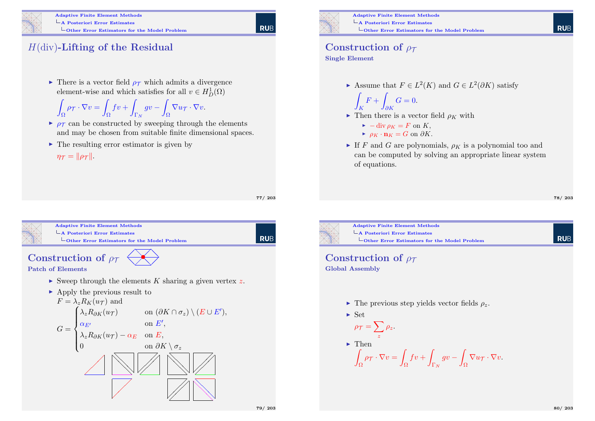

Adaptive Finite Element Methods A Posteriori Error Estimates  $\overline{\phantom{a}}$  Other Error Estimators for the Model Problem

### $H$ (div)-Lifting of the Residual

 $\triangleright$  There is a vector field  $\rho_{\tau}$  which admits a divergence element-wise and which satisfies for all  $v \in H_D^1(\Omega)$ 

$$
\int_{\Omega} \rho_{\mathcal{T}} \cdot \nabla v = \int_{\Omega} f v + \int_{\Gamma_N} g v - \int_{\Omega} \nabla u_{\mathcal{T}} \cdot \nabla v.
$$

- $\rho_{\tau}$  can be constructed by sweeping through the elements and may be chosen from suitable finite dimensional spaces.
- $\blacktriangleright$  The resulting error estimator is given by

 $n\tau = ||\rho_{\tau}||.$ 

77/ 203

<span id="page-19-0"></span>



Adaptive Finite Element Methods A Posteriori Error Estimates  $\overline{\phantom{a}}$  Other Error Estimators for the Model Problem

## Construction of  $\rho_{\tau}$

Single Element

Z

Assume that  $F \in L^2(K)$  and  $G \in L^2(\partial K)$  satisfy

$$
\int_K F + \int_{\partial K} G = 0.
$$

- If Then there is a vector field  $\rho_K$  with
	- $\blacktriangleright$  -div  $\rho_K = F$  on K,
	- $\rightharpoonup \rho_K \cdot \mathbf{n}_K = G$  on  $\partial K$ .
- If F and G are polynomials,  $\rho_K$  is a polynomial too and can be computed by solving an appropriate linear system of equations.

78/ 203

**RUE** 



- Construction of  $\rho_{\tau}$ Global Assembly
	- $\blacktriangleright$  The previous step yields vector fields  $\rho_z$ .
	- $\blacktriangleright$  Set

$$
\rho_{\mathcal{T}} = \sum_{z} \rho_{z}.
$$
  
\n
$$
\sum_{\Omega} \rho_{\mathcal{T}} \cdot \nabla v = \int_{\Omega} f v + \int_{\Gamma_{N}} g v - \int_{\Omega} \nabla u_{\mathcal{T}}.
$$

 $\nabla v$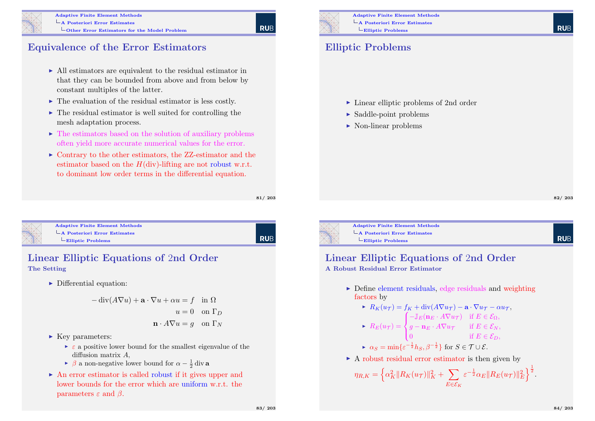

#### Adaptive Finite Element Methods A Posteriori Error Estimates

### Equivalence of the Error Estimators

- $\triangleright$  All estimators are equivalent to the residual estimator in that they can be bounded from above and from below by constant multiples of the latter.
- $\blacktriangleright$  The evaluation of the residual estimator is less costly.
- $\triangleright$  The residual estimator is well suited for controlling the mesh adaptation process.
- $\blacktriangleright$  The estimators based on the solution of auxiliary problems often yield more accurate numerical values for the error.
- $\triangleright$  Contrary to the other estimators, the ZZ-estimator and the estimator based on the  $H(\text{div})$ -lifting are not robust w.r.t. to dominant low order terms in the differential equation.

81/ 203

**RUE** 

<span id="page-20-0"></span>

#### Adaptive Finite Element Methods [A Posteriori Error Estim](#page-0-0)ates  $L$ [Elliptic Problems](#page-20-0)

**RUB** 

#### Linear Elliptic Equations of 2nd Order The Setting

 $\triangleright$  Differential equation:

$$
-\operatorname{div}(A\nabla u) + \mathbf{a} \cdot \nabla u + \alpha u = f \quad \text{in } \Omega
$$

$$
u = 0 \quad \text{on } \Gamma_D
$$

$$
\mathbf{n} \cdot A\nabla u = g \quad \text{on } \Gamma_N
$$

- $\blacktriangleright$  Key parameters:
	- $\triangleright$   $\varepsilon$  a positive lower bound for the smallest eigenvalue of the diffusion matrix A,
	- ►  $\beta$  a non-negative lower bound for  $\alpha \frac{1}{2}$  div a
- $\triangleright$  An error estimator is called robust if it gives upper and lower bounds for the error which are uniform w.r.t. the parameters  $\varepsilon$  and  $\beta$ .



#### Elliptic Problems

- $\blacktriangleright$  Linear elliptic problems of 2nd order
- $\blacktriangleright$  Saddle-point problems
- $\blacktriangleright$  Non-linear problems

**RUF** 

**RUF** 

Adaptive Finite Element Methods A Posteriori Error Estimates  $L$ Elliptic Problems

### Linear Elliptic Equations of 2nd Order

A Robust Residual Error Estimator

 $\triangleright$  Define element residuals, edge residuals and weighting factors by

▶ 
$$
R_K(u_\mathcal{T}) = f_K + \text{div}(A\nabla u_\mathcal{T}) - \mathbf{a} \cdot \nabla u_\mathcal{T} - \alpha u_\mathcal{T},
$$
  
\n▶  $R_E(u_\mathcal{T}) = \begin{cases} -\mathbb{J}_E(\mathbf{n}_E \cdot A\nabla u_\mathcal{T}) & \text{if } E \in \mathcal{E}_\Omega, \\ g - \mathbf{n}_E \cdot A\nabla u_\mathcal{T} & \text{if } E \in \mathcal{E}_N, \end{cases}$ 

$$
\begin{cases} 0 & \text{if } E \in \mathcal{E}_D, \end{cases}
$$

$$
\star \quad \alpha_S = \min \{ \varepsilon^{-\frac{1}{2}} h_S, \beta^{-\frac{1}{2}} \} \text{ for } S \in \mathcal{T} \cup \mathcal{E}.
$$

 $\triangleright$  A robust residual error estimator is then given by

$$
\eta_{R,K} = \left\{ \alpha_K^2 \| R_K(u_\mathcal{T}) \|_K^2 + \sum_{E \in \mathcal{E}_K} \varepsilon^{-\frac{1}{2}} \alpha_E \| R_E(u_\mathcal{T}) \|_E^2 \right\}^{\frac{1}{2}}.
$$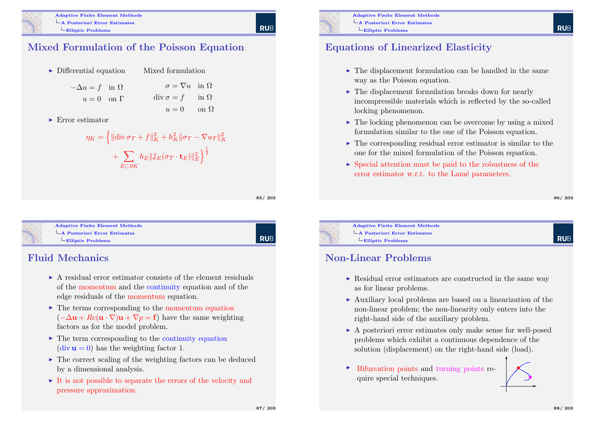

#### Mixed Formulation of the Poisson Equation

- $\blacktriangleright$  Differential equation  $-\Delta u = f$  in  $\Omega$  $u = 0$  on  $\Gamma$ Mixed formulation  $\sigma = \nabla u$  in  $\Omega$  $\operatorname{div} \sigma = f \quad \text{in } \Omega$  $u = 0$  on  $\Omega$
- $\blacktriangleright$  Error estimator

$$
\eta_K = \left\{ \|\text{div}\,\sigma_{\mathcal{T}} + f\|_K^2 + h_K^2 \|\sigma_{\mathcal{T}} - \nabla u_{\mathcal{T}}\|_K^2 + \sum_{E \subset \partial K} h_E \|\mathbb{J}_E(\sigma_{\mathcal{T}} \cdot \mathbf{t}_E)\|_E^2 \right\}^{\frac{1}{2}}
$$

85/ 203

**RUE** 

<span id="page-21-0"></span>

Adaptive Finite Element Methods [A Posteriori Error Estim](#page-0-0)ates [Elliptic Problems](#page-21-0)

## **RUB**

#### Fluid Mechanics

- $\triangleright$  A residual error estimator consists of the element residuals of the momentum and the continuity equation and of the edge residuals of the momentum equation.
- $\triangleright$  The terms corresponding to the momentum equation  $(-\Delta u + Re(u \cdot \nabla)u + \nabla p = f)$  have the same weighting factors as for the model problem.
- $\triangleright$  The term corresponding to the continuity equation (div  $\mathbf{u} = 0$ ) has the weighting factor 1.
- $\blacktriangleright$  The correct scaling of the weighting factors can be deduced by a dimensional analysis.
- $\triangleright$  It is not possible to separate the errors of the velocity and pressure approximation.



Adaptive Finite Element Methods A Posteriori Error Estimates Elliptic Problems

#### Equations of Linearized Elasticity

- $\blacktriangleright$  The displacement formulation can be handled in the same way as the Poisson equation.
- $\blacktriangleright$  The displacement formulation breaks down for nearly incompressible materials which is reflected by the so-called locking phenomenon.
- $\triangleright$  The locking phenomenon can be overcome by using a mixed formulation similar to the one of the Poisson equation.
- $\triangleright$  The corresponding residual error estimator is similar to the one for the mixed formulation of the Poisson equation.
- $\triangleright$  Special attention must be paid to the robustness of the error estimator w.r.t. to the Lamé parameters.

#### 86/ 203

**RUF** 



Adaptive Finite Element Methods A Posteriori Error Estimates Elliptic Problems

#### Non-Linear Problems

- $\triangleright$  Residual error estimators are constructed in the same way as for linear problems.
- $\triangleright$  Auxiliary local problems are based on a linearization of the non-linear problem; the non-linearity only enters into the right-hand side of the auxiliary problem.
- $\triangleright$  A posteriori error estimates only make sense for well-posed problems which exhibit a continuous dependence of the solution (displacement) on the right-hand side (load).
- $\triangleright$  Bifurcation points and turning points require special techniques.

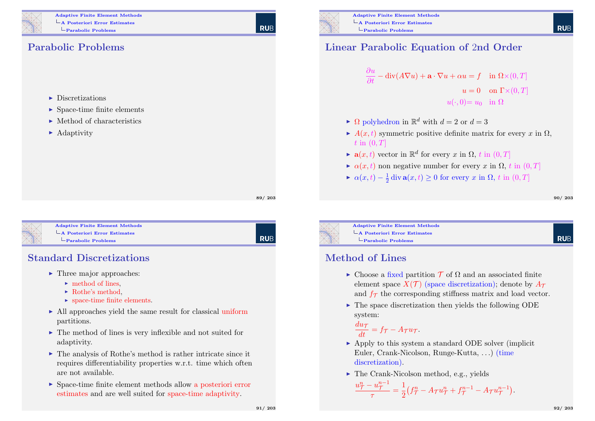

#### Parabolic Problems

- $\blacktriangleright$  Discretizations
- $\blacktriangleright$  Space-time finite elements
- $\blacktriangleright$  Method of characteristics
- $\blacktriangleright$  Adaptivity

89/ 203

**RUE** 

<span id="page-22-0"></span>

Adaptive Finite Element Methods [A Posteriori Error Estim](#page-0-0)ates [Parabolic Problems](#page-22-0)

| Rub

#### Standard Discretizations

- $\blacktriangleright$  Three major approaches:
	- $\blacktriangleright$  method of lines.
	- $\blacktriangleright$  Rothe's method,
	- $\blacktriangleright$  space-time finite elements.
- $\triangleright$  All approaches yield the same result for classical uniform partitions.
- $\blacktriangleright$  The method of lines is very inflexible and not suited for adaptivity.
- $\triangleright$  The analysis of Rothe's method is rather intricate since it requires differentiability properties w.r.t. time which often are not available.
- $\triangleright$  Space-time finite element methods allow a posteriori error estimates and are well suited for space-time adaptivity.



#### Linear Parabolic Equation of 2nd Order

$$
\frac{\partial u}{\partial t} - \text{div}(A\nabla u) + \mathbf{a} \cdot \nabla u + \alpha u = f \quad \text{in } \Omega \times (0, T]
$$

$$
u = 0 \quad \text{on } \Gamma \times (0, T]
$$

$$
u(\cdot, 0) = u_0 \quad \text{in } \Omega
$$

- $\blacktriangleright \Omega$  polyhedron in  $\mathbb{R}^d$  with  $d = 2$  or  $d = 3$
- $\blacktriangleright$  A(x, t) symmetric positive definite matrix for every x in  $\Omega$ ,  $t \text{ in } (0, T]$
- $\blacktriangleright$  **a** $(x, t)$  vector in  $\mathbb{R}^d$  for every x in  $\Omega$ , t in  $(0, T]$
- $\triangleright$   $\alpha(x,t)$  non negative number for every x in  $\Omega$ , t in  $(0,T]$
- $\blacktriangleright \alpha(x,t) \frac{1}{2} \operatorname{div} \mathbf{a}(x,t) \ge 0$  for every x in  $\Omega$ , t in  $(0,T]$

90/ 203

**RUE** 

**RUF** 



Adaptive Finite Element Methods A Posteriori Error Estimates Parabolic Problems

#### Method of Lines

- $\triangleright$  Choose a fixed partition  $\mathcal T$  of  $\Omega$  and an associated finite element space  $X(\mathcal{T})$  (space discretization); denote by  $A_{\mathcal{T}}$ and  $f_{\mathcal{T}}$  the corresponding stiffness matrix and load vector.
- $\triangleright$  The space discretization then yields the following ODE system:

$$
\frac{du_{\mathcal{T}}}{dt} = f_{\mathcal{T}} - A_{\mathcal{T}}u_{\mathcal{T}}.
$$

- $\triangleright$  Apply to this system a standard ODE solver (implicit) Euler, Crank-Nicolson, Runge-Kutta, . . .) (time discretization).
- $\blacktriangleright$  The Crank-Nicolson method, e.g., yields

$$
\frac{u_{\mathcal{T}}^{n} - u_{\mathcal{T}}^{n-1}}{\tau} = \frac{1}{2} \left( f_{\mathcal{T}}^{n} - A_{\mathcal{T}} u_{\mathcal{T}}^{n} + f_{\mathcal{T}}^{n-1} - A_{\mathcal{T}} u_{\mathcal{T}}^{n-1} \right).
$$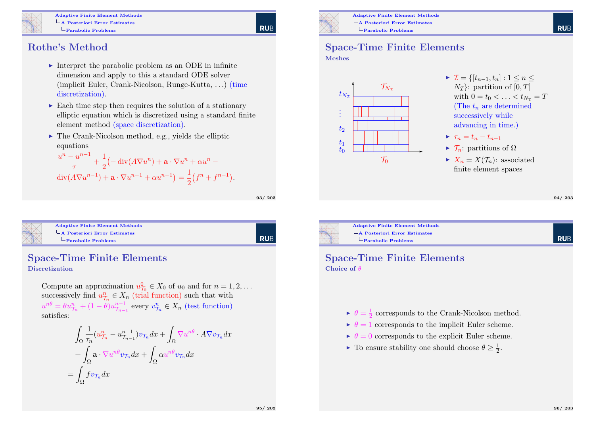

**RUB** 

### Rothe's Method

- Interpret the parabolic problem as an ODE in infinite dimension and apply to this a standard ODE solver (implicit Euler, Crank-Nicolson, Runge-Kutta, . . .) (time discretization).
- $\triangleright$  Each time step then requires the solution of a stationary elliptic equation which is discretized using a standard finite element method (space discretization).
- $\blacktriangleright$  The Crank-Nicolson method, e.g., yields the elliptic equations

$$
\frac{u^{n} - u^{n-1}}{\tau} + \frac{1}{2} \left( -\operatorname{div}(A \nabla u^{n}) + \mathbf{a} \cdot \nabla u^{n} + \alpha u^{n} - \operatorname{div}(A \nabla u^{n-1}) + \mathbf{a} \cdot \nabla u^{n-1} + \alpha u^{n-1} \right) = \frac{1}{2} \left( f^{n} + f^{n-1} \right).
$$

93/ 203

<span id="page-23-0"></span>

| <b>Adaptive Finite Element Methods</b> |
|----------------------------------------|
| $\vdash$ A Posteriori Error Estimates  |
| $\Box$ Parabolic Problems              |

RUB

#### Space-Time Finite Elements Discretization

Compute an approximation  $u_{\mathcal{T}_0}^0 \in X_0$  of  $u_0$  and for  $n = 1, 2, ...$ successively find  $u_{\mathcal{T}_n}^n \in X_n$  (trial function) such that with  $u^{n\theta} = \theta u_{\mathcal{T}_n}^n + (1 - \theta) u_{\mathcal{T}_{n-1}}^{n-1}$  every  $v_{\mathcal{T}_n}^n \in X_n$  (test function) satisfies:

$$
\int_{\Omega} \frac{1}{\tau_n} (u_{\mathcal{T}_n}^n - u_{\mathcal{T}_{n-1}}^{n-1}) v_{\mathcal{T}_n} dx + \int_{\Omega} \nabla u^{n\theta} \cdot A \nabla v_{\mathcal{T}_n} dx
$$

$$
+ \int_{\Omega} \mathbf{a} \cdot \nabla u^{n\theta} v_{\mathcal{T}_n} dx + \int_{\Omega} \alpha u^{n\theta} v_{\mathcal{T}_n} dx
$$

$$
= \int_{\Omega} f v_{\mathcal{T}_n} dx
$$



Adaptive Finite Element Methods A Posteriori Error Estimates Parabolic Problems

### Space-Time Finite Elements

Meshes



94/ 203

**RUE** 



#### Space-Time Finite Elements Choice of  $\theta$

- $\blacktriangleright \theta = \frac{1}{2}$  corresponds to the Crank-Nicolson method.
- $\blacktriangleright \theta = 1$  corresponds to the implicit Euler scheme.
- $\blacktriangleright \theta = 0$  corresponds to the explicit Euler scheme.
- ► To ensure stability one should choose  $\theta \geq \frac{1}{2}$ .

**RUE**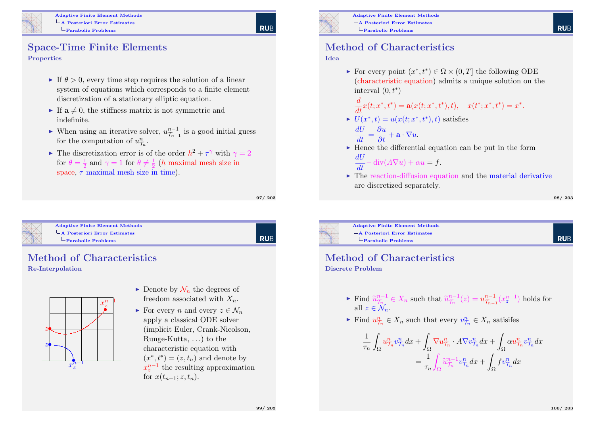

**RUE** 

#### Space-Time Finite Elements Properties

#### If  $\theta > 0$ , every time step requires the solution of a linear system of equations which corresponds to a finite element discretization of a stationary elliptic equation.

- If  $a \neq 0$ , the stiffness matrix is not symmetric and indefinite.
- ► When using an iterative solver,  $u_{\mathcal{T}_{n-1}}^{n-1}$  is a good initial guess for the computation of  $u_{\mathcal{T}_n}^n$ .
- The discretization error is of the order  $h^2 + \tau^{\gamma}$  with  $\gamma = 2$ for  $\theta = \frac{1}{2}$  and  $\gamma = 1$  for  $\theta \neq \frac{1}{2}$  (*h* maximal mesh size in space,  $\tau$  maximal mesh size in time).

97/ 203

<span id="page-24-0"></span>

#### Adaptive Finite Element Methods [A Posteriori Error Estim](#page-0-0)ates [Parabolic Problems](#page-24-0)

RUB

#### Method of Characteristics Re-Interpolation



- $\triangleright$  Denote by  $\mathcal{N}_n$  the degrees of freedom associated with  $X_n$ .
- For every n and every  $z \in \mathcal{N}_n$ apply a classical ODE solver (implicit Euler, Crank-Nicolson, Runge-Kutta, . . .) to the characteristic equation with  $(x^*, t^*) = (z, t_n)$  and denote by  $x_z^{n-1}$  the resulting approximation for  $x(t_{n-1}; z, t_n)$ .



#### Method of Characteristics

#### Idea

For every point  $(x^*, t^*) \in \Omega \times (0,T]$  the following ODE (characteristic equation) admits a unique solution on the interval  $(0, t^*)$ 

$$
\frac{d}{dt}x(t; x^*, t^*) = \mathbf{a}(x(t; x^*, t^*), t), \quad x(t^*; x^*, t^*) = x^*.
$$

- $U(x^*,t) = u(x(t;x^*,t^*),t)$  satisfies  $\frac{dU}{dt} = \frac{\partial u}{\partial t} + \mathbf{a} \cdot \nabla u.$
- $\blacktriangleright$  Hence the differential equation can be put in the form

$$
\frac{dU}{dt} - \operatorname{div}(A\nabla u) + \alpha u = f.
$$

 $\blacktriangleright$  The reaction-diffusion equation and the material derivative are discretized separately.

98/ 203

**RUE** 

**RUE** 



Adaptive Finite Element Methods A Posteriori Error Estimates Parabolic Problems

## Method of Characteristics

Discrete Problem

- Find  $\widetilde{u}_{\tau_n}^{n-1} \in X_n$  such that  $\widetilde{u}_{\tau_n}^{n-1}(z) = u_{\tau_{n-1}}^{n-1}(x_z^{n-1})$  holds for all  $z \in \mathcal{N}_n$ .
- Find  $u_{\overline{\mathcal{T}}_n}^n \in X_n$  such that every  $v_{\overline{\mathcal{T}}_n}^n \in X_n$  satisifes

$$
\frac{1}{\tau_n} \int_{\Omega} u^n_{\mathcal{T}_n} v^n_{\mathcal{T}_n} dx + \int_{\Omega} \nabla u^n_{\mathcal{T}_n} \cdot A \nabla v^n_{\mathcal{T}_n} dx + \int_{\Omega} \alpha u^n_{\mathcal{T}_n} v^n_{\mathcal{T}_n} dx \n= \frac{1}{\tau_n} \int_{\Omega} \widetilde{u}^{n-1}_{\mathcal{T}_n} v^n_{\mathcal{T}_n} dx + \int_{\Omega} f v^n_{\mathcal{T}_n} dx
$$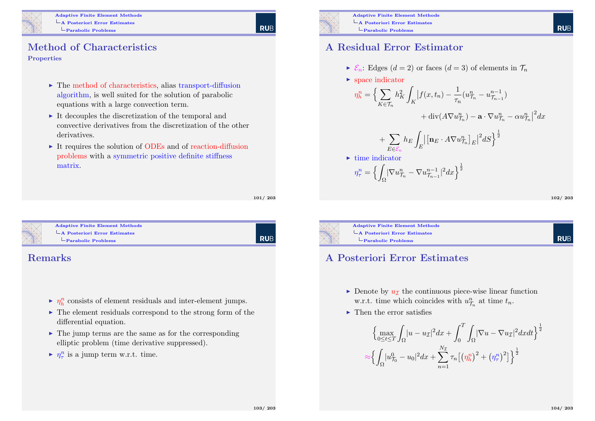

#### Method of Characteristics Properties

- $\blacktriangleright$  The method of characteristics, alias transport-diffusion algorithm, is well suited for the solution of parabolic equations with a large convection term.
- $\triangleright$  It decouples the discretization of the temporal and convective derivatives from the discretization of the other derivatives.
- $\triangleright$  It requires the solution of ODEs and of reaction-diffusion problems with a symmetric positive definite stiffness matrix.

101/ 203

| Rub

<span id="page-25-0"></span>

#### Adaptive Finite Element Methods  $\mathsf{L}_{\mathbf{A}}$  Posteriori Error Estimates [Parabolic Problems](#page-25-0)

#### Remarks

- $\blacktriangleright$   $\eta_h^n$  consists of element residuals and inter-element jumps.
- $\blacktriangleright$  The element residuals correspond to the strong form of the differential equation.
- $\blacktriangleright$  The jump terms are the same as for the corresponding elliptic problem (time derivative suppressed).
- $\blacktriangleright$   $\eta_\tau^n$  is a jump term w.r.t. time.



#### A Residual Error Estimator

- $\blacktriangleright \mathcal{E}_n$ : Edges  $(d = 2)$  or faces  $(d = 3)$  of elements in  $\mathcal{T}_n$
- $\blacktriangleright$  space indicator

$$
\eta_h^n = \Big\{ \sum_{K \in \mathcal{T}_n} h_K^2 \int_K \Big| f(x, t_n) - \frac{1}{\tau_n} (u_{\mathcal{T}_n}^n - u_{\mathcal{T}_{n-1}}^{n-1}) + \text{div}(A \nabla u_{\mathcal{T}_n}^n) - \mathbf{a} \cdot \nabla u_{\mathcal{T}_n}^n - \alpha u_{\mathcal{T}_n}^n \Big|^2 dx \Big\}
$$

$$
+\sum_{E\in\mathcal{E}_n}h_E\int_E\bigl|\bigl[\mathbf{n}_E\cdot A\nabla u^n_{\mathcal{T}_n}\bigr]_E\bigr|^2dS\Bigr\}^{\frac{1}{2}}
$$

$$
\triangleright \text{ time indicator}
$$

$$
\eta_\tau^n = \left\{ \int_{\Omega} |\nabla u^n_{\mathcal{T}_n} - \nabla u^{n-1}_{\mathcal{T}_{n-1}}|^2 dx \right\}^{\frac{1}{2}}
$$

102/ 203

**RUE** 



Adaptive Finite Element Methods A Posteriori Error Estimates Parabolic Problems

#### A Posteriori Error Estimates

- Denote by  $u_{\mathcal{I}}$  the continuous piece-wise linear function w.r.t. time which coincides with  $u_{\mathcal{T}_n}^n$  at time  $t_n$ .
- $\blacktriangleright$  Then the error satisfies

$$
\left\{\max_{0 \le t \le T} \int_{\Omega} |u - u_{\mathcal{I}}|^2 dx + \int_{0}^{T} \int_{\Omega} |\nabla u - \nabla u_{\mathcal{I}}|^2 dxdt \right\}^{\frac{1}{2}}
$$

$$
\approx \left\{ \int_{\Omega} |u_{\mathcal{T}_0}^0 - u_0|^2 dx + \sum_{n=1}^{N_{\mathcal{I}}} \tau_n \left[ \left( \eta_h^n \right)^2 + \left( \eta_\tau^n \right)^2 \right] \right\}^{\frac{1}{2}}
$$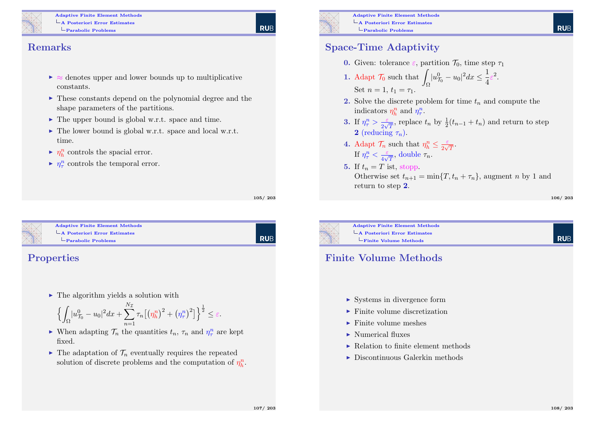

## **RUE**

#### Remarks

- $\triangleright \approx$  denotes upper and lower bounds up to multiplicative constants.
- $\triangleright$  These constants depend on the polynomial degree and the shape parameters of the partitions.
- $\blacktriangleright$  The upper bound is global w.r.t. space and time.
- $\blacktriangleright$  The lower bound is global w.r.t. space and local w.r.t. time.
- $\blacktriangleright$   $\eta_h^n$  controls the spacial error.
- $\blacktriangleright$   $\eta_\tau^n$  controls the temporal error.

105/ 203

RUB

<span id="page-26-0"></span>

#### Adaptive Finite Element Methods [A Posteriori Error Estim](#page-0-0)ates [Parabolic Problems](#page-26-0)

#### Properties

 $\blacktriangleright$  The algorithm yields a solution with

$$
\left\{ \int_{\Omega} |u^0_{\tau_0} - u_0|^2 dx + \sum_{n=1}^{N_{\mathcal{I}}} \tau_n \big[ \big( \eta_h^n \big)^2 + \big( \eta_\tau^n \big)^2 \big] \right\}^{\frac{1}{2}} \leq \varepsilon.
$$

- $\blacktriangleright$  When adapting  $\mathcal{T}_n$  the quantities  $t_n$ ,  $\tau_n$  and  $\eta_\tau^n$  are kept fixed.
- $\blacktriangleright$  The adaptation of  $\mathcal{T}_n$  eventually requires the repeated solution of discrete problems and the computation of  $\eta_h^n$ .



Adaptive Finite Element Methods A Posteriori Error Estimates Parabolic Problems

#### Space-Time Adaptivity

- **0.** Given: tolerance *ε*, partition  $\mathcal{T}_0$ , time step  $\tau_1$
- 1. Adapt  $\mathcal{T}_0$  such that Ω  $|u_{\mathcal{T}_0}^0 - u_0|^2 dx \leq \frac{1}{4}$  $\frac{1}{4}\varepsilon^2$ . Set  $n = 1, t_1 = \tau_1$ .
- 2. Solve the discrete problem for time  $t_n$  and compute the indicators  $\eta_h^n$  and  $\eta_\tau^n$ .
- 3. If  $\eta_{\tau}^n > \frac{\varepsilon}{2\sqrt{n}}$  $\frac{\varepsilon}{2\sqrt{T}}$ , replace  $t_n$  by  $\frac{1}{2}(t_{n-1} + t_n)$  and return to step 2 (reducing  $\tau_n$ ).
- 4. Adapt  $\mathcal{T}_n$  such that  $\eta_h^n \leq \frac{\varepsilon}{2\sqrt{n}}$  $\frac{\varepsilon}{2\sqrt{T}}.$ If  $\eta_{\tau}^n < \frac{\varepsilon}{4\sqrt{3}}$  $rac{\varepsilon}{4\sqrt{T}},$  double  $\tau_n$ .
- 5. If  $t_n = T$  ist, stopp. Otherwise set  $t_{n+1} = \min\{T, t_n + \tau_n\}$ , augment n by 1 and return to step 2.

106/ 203

**RUE** 

**RUE** 



Adaptive Finite Element Methods A Posteriori Error Estimates Finite Volume Methods

#### Finite Volume Methods

- $\triangleright$  Systems in divergence form
- $\blacktriangleright$  Finite volume discretization
- $\blacktriangleright$  Finite volume meshes
- $\blacktriangleright$  Numerical fluxes
- $\blacktriangleright$  Relation to finite element methods
- $\triangleright$  Discontinuous Galerkin methods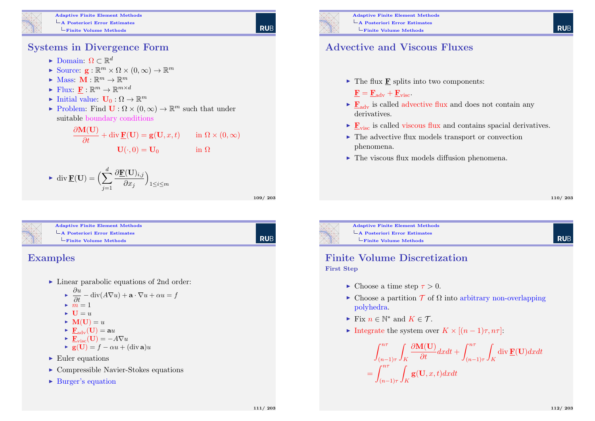

#### Systems in Divergence Form

- ► Domain:  $\Omega \subset \mathbb{R}^d$
- Source:  $\mathbf{g}: \mathbb{R}^m \times \Omega \times (0, \infty) \to \mathbb{R}^m$
- $\blacktriangleright$  Mass:  $\mathbf{M} : \mathbb{R}^m \to \mathbb{R}^m$
- $\blacktriangleright$  Flux:  $\underline{\mathbf{F}} : \mathbb{R}^m \to \mathbb{R}^{m \times d}$
- $\blacktriangleright$  Initial value:  $\mathbf{U}_0 : \Omega \to \mathbb{R}^m$
- Problem: Find  $\mathbf{U}: \Omega \times (0, \infty) \to \mathbb{R}^m$  such that under suitable boundary conditions

$$
\frac{\partial \mathbf{M}(\mathbf{U})}{\partial t} + \text{div }\mathbf{F}(\mathbf{U}) = \mathbf{g}(\mathbf{U}, x, t) \quad \text{in } \Omega \times (0, \infty)
$$

$$
\mathbf{U}(\cdot, 0) = \mathbf{U}_0 \quad \text{in } \Omega
$$

• div 
$$
\underline{\mathbf{F}}(\mathbf{U}) = \Big(\sum_{j=1}^{d} \frac{\partial \underline{\mathbf{F}}(\mathbf{U})_{i,j}}{\partial x_j}\Big)_{1 \le i \le m}
$$

109/ 203

**RUB** 

**RUE** 

<span id="page-27-0"></span>

#### Examples

- $\blacktriangleright$  Linear parabolic equations of 2nd order:
	- $\blacktriangleright \frac{\partial u}{\partial t} \text{div}(A\nabla u) + \mathbf{a} \cdot \nabla u + \alpha u = f$  $\blacktriangleright$   $m = 1$
	- $\bullet$  **U** = u
	- $\blacktriangleright M(U) = u$
	- $\blacktriangleright$   $\mathbf{F}_{adv}(\mathbf{U}) = \mathbf{a}u$
	- $\blacktriangleright$   $\mathbf{F}_{\text{visc}}(\mathbf{U}) = -A\nabla u$
	- $\bullet \mathbf{g}(\mathbf{U}) = f \alpha u + (\text{div } \mathbf{a})u$
- $\blacktriangleright$  Euler equations
- $\triangleright$  Compressible Navier-Stokes equations
- $\blacktriangleright$  Burger's equation



Adaptive Finite Element Methods A Posteriori Error Estimates Finite Volume Methods

#### Advective and Viscous Fluxes

- $\blacktriangleright$  The flux **F** splits into two components:
	- $\mathbf{F} = \mathbf{F}_{adv} + \mathbf{F}_{visc}$ .
- $\triangleright$   $\mathbf{F}_{adv}$  is called advective flux and does not contain any derivatives.
- $\triangleright$   $\mathbf{F}_{\text{visc}}$  is called viscous flux and contains spacial derivatives.
- $\blacktriangleright$  The advective flux models transport or convection phenomena.
- $\blacktriangleright$  The viscous flux models diffusion phenomena.

110/ 203

**RUE** 

Adaptive Finite Element Methods A Posteriori Error Estimates Finite Volume Methods

#### Finite Volume Discretization First Step

- $\blacktriangleright$  Choose a time step  $\tau > 0$ .
- $\triangleright$  Choose a partition  $\mathcal T$  of  $\Omega$  into arbitrary non-overlapping polyhedra.
- Fix  $n \in \mathbb{N}^*$  and  $K \in \mathcal{T}$ .
- Integrate the system over  $K \times [(n-1)\tau, n\tau]$ :

$$
\int_{(n-1)\tau}^{n\tau} \int_{K} \frac{\partial \mathbf{M}(\mathbf{U})}{\partial t} dxdt + \int_{(n-1)\tau}^{n\tau} \int_{K} \operatorname{div} \mathbf{F}(\mathbf{U}) dxdt
$$

$$
= \int_{(n-1)\tau}^{n\tau} \int_{K} \mathbf{g}(\mathbf{U}, x, t) dxdt
$$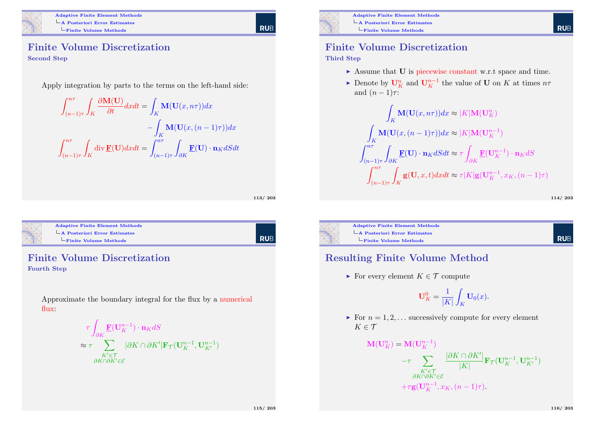

Adaptive Finite Element Methods A Posteriori Error Estimates  $L$ Finite Volume Methods

RUB

#### Finite Volume Discretization Second Step

Apply integration by parts to the terms on the left-hand side:

$$
\int_{(n-1)\tau}^{n\tau} \int_{K} \frac{\partial \mathbf{M}(\mathbf{U})}{\partial t} dx dt = \int_{K} \mathbf{M}(\mathbf{U}(x, n\tau)) dx
$$

$$
- \int_{K} \mathbf{M}(\mathbf{U}(x, (n-1)\tau)) dx
$$

$$
\int_{(n-1)\tau}^{n\tau} \int_{K} \text{div } \underline{\mathbf{F}}(\mathbf{U}) dx dt = \int_{(n-1)\tau}^{n\tau} \int_{\partial K} \underline{\mathbf{F}}(\mathbf{U}) \cdot \mathbf{n}_{K} dS dt
$$

113/ 203

<span id="page-28-0"></span>

#### Adaptive Finite Element Methods [A Posteriori Error Estim](#page-0-0)ates [Finite Volume Meth](#page-28-0)ods

| Rub

#### Finite Volume Discretization Fourth Step

Approximate the boundary integral for the flux by a numerical flux:

$$
\tau \int_{\partial K} \underbrace{\mathbf{F}}_{K' \in \mathcal{T}} (\mathbf{U}_{K}^{n-1}) \cdot \mathbf{n}_{K} dS
$$
\n
$$
\approx \tau \sum_{\substack{K' \in \mathcal{T} \\ \partial K \cap \partial K' \in \mathcal{E}}} |\partial K \cap \partial K'| \mathbf{F}_{\mathcal{T}} (\mathbf{U}_{K}^{n-1}, \mathbf{U}_{K'}^{n-1})
$$



Adaptive Finite Element Methods A Posteriori Error Estimates Finite Volume Methods

#### Finite Volume Discretization

#### Third Step

- $\triangleright$  Assume that **U** is piecewise constant w.r.t space and time.
- ► Denote by  $\mathbf{U}_K^n$  and  $\mathbf{U}_K^{n-1}$  the value of **U** on K at times  $n\tau$ and  $(n-1)\tau$ :

$$
\int_{K} \mathbf{M}(\mathbf{U}(x, n\tau))dx \approx |K| \mathbf{M}(\mathbf{U}_{K}^{n})
$$
\n
$$
\int_{K} \mathbf{M}(\mathbf{U}(x, (n-1)\tau))dx \approx |K| \mathbf{M}(\mathbf{U}_{K}^{n-1})
$$
\n
$$
\int_{(n-1)\tau}^{n\tau} \int_{\partial K} \mathbf{F}(\mathbf{U}) \cdot \mathbf{n}_{K} dS dt \approx \tau \int_{\partial K} \mathbf{F}(\mathbf{U}_{K}^{n-1}) \cdot \mathbf{n}_{K} dS
$$
\n
$$
\int_{(n-1)\tau}^{n\tau} \int_{K} \mathbf{g}(\mathbf{U}, x, t) dx dt \approx \tau |K| \mathbf{g}(\mathbf{U}_{K}^{n-1}, x_{K}, (n-1)\tau)
$$

114/ 203

**RUE** 



Adaptive Finite Element Methods A Posteriori Error Estimates Finite Volume Methods

 $\mathbf{M}$ 

#### **RUE**

#### Resulting Finite Volume Method

For every element  $K \in \mathcal{T}$  compute

$$
\mathbf{U}_K^0 = \frac{1}{|K|} \int_K \mathbf{U}_0(x).
$$

 $\blacktriangleright$  For  $n = 1, 2, \ldots$  successively compute for every element  $K \in \mathcal{T}$ 

$$
I(\mathbf{U}_{K}^{n}) = \mathbf{M}(\mathbf{U}_{K}^{n-1})
$$
  

$$
-\tau \sum_{\substack{K' \in \mathcal{T} \\ \partial K \cap \partial K' \in \mathcal{E}}} \frac{|\partial K \cap \partial K'|}{|K|} \mathbf{F}_{\mathcal{T}}(\mathbf{U}_{K}^{n-1}, \mathbf{U}_{K'}^{n-1})
$$
  

$$
+ \tau \mathbf{g}(\mathbf{U}_{K}^{n-1}, x_{K}, (n-1)\tau).
$$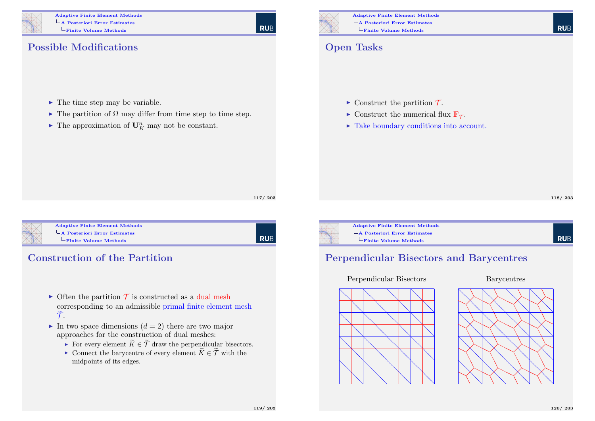

Adaptive Finite Element Methods A Posteriori Error Estimates  $L$ Finite Volume Methods

# **RUB**

Possible Modifications

- $\blacktriangleright$  The time step may be variable.
- $\blacktriangleright$  The partition of  $\Omega$  may differ from time step to time step.
- $\blacktriangleright$  The approximation of  $\mathbf{U}_K^n$  may not be constant.



Adaptive Finite Element Methods A Posteriori Error Estimates Finite Volume Methods

### Open Tasks

- $\triangleright$  Construct the partition  $\mathcal{T}$ .
- $\triangleright$  Construct the numerical flux  $\underline{\mathbf{F}}_{\mathcal{T}}$ .
- $\blacktriangleright$  Take boundary conditions into account.

118/ 203



<span id="page-29-0"></span>

#### Adaptive Finite Element Methods [A Posteriori Error Estim](#page-0-0)ates  $L$ [Finite Volume Meth](#page-29-0)ods

l rub

#### Construction of the Partition

- $\triangleright$  Often the partition  $\mathcal T$  is constructed as a dual mesh corresponding to an admissible primal finite element mesh  $\widetilde{\mathcal{T}}$ .
- In two space dimensions  $(d = 2)$  there are two major approaches for the construction of dual meshes:
	- For every element  $\widetilde{K} \in \widetilde{\mathcal{T}}$  draw the perpendicular bisectors.
	- ► Connect the barycentre of every element  $\widetilde{K} \in \widetilde{\mathcal{T}}$  with the midpoints of its edges.



Adaptive Finite Element Methods A Posteriori Error Estimates Finite Volume Methods

# **RUB**

#### Perpendicular Bisectors and Barycentres

Perpendicular Bisectors

#### Barycentres



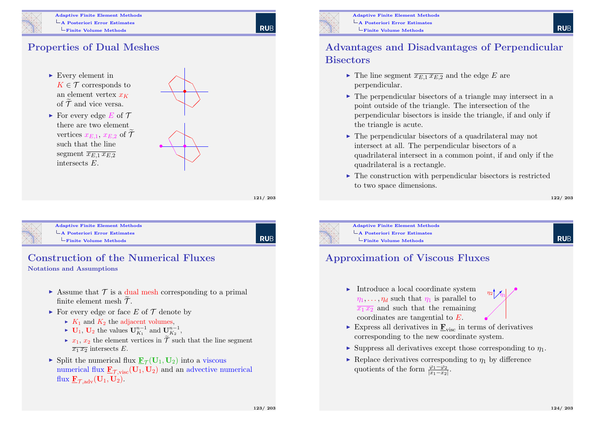

#### Adaptive Finite Element Methods A Posteriori Error Estimates Finite Volume Methods

### Properties of Dual Meshes



 $\blacktriangleright$  For every edge E of T there are two element vertices  $x_{E,1}$ ,  $x_{E,2}$  of  $\widetilde{\mathcal{T}}$ such that the line segment  $\overline{x_{E1} x_{E2}}$ intersects E.



121/ 203

**RUE** 

<span id="page-30-0"></span>

Adaptive Finite Element Methods [A Posteriori Error Estim](#page-0-0)ates [Finite Volume Meth](#page-30-0)ods

**RUB** 

## Construction of the Numerical Fluxes

Notations and Assumptions

- $\triangleright$  Assume that  $\mathcal T$  is a dual mesh corresponding to a primal finite element mesh  $\mathcal{T}$ .
- $\triangleright$  For every edge or face E of  $\mathcal T$  denote by
	- $\blacktriangleright$   $K_1$  and  $K_2$  the adjacent volumes,
	- ►  $\mathbf{U}_1$ ,  $\mathbf{U}_2$  the values  $\mathbf{U}_{K_1}^{n-1}$  and  $\mathbf{U}_{K_2}^{n-1}$ ,
	- $\triangleright$   $x_1, x_2$  the element vertices in  $\mathcal T$  such that the line segment  $\overline{x_1 x_2}$  intersects E.
- Split the numerical flux  $\underline{\mathbf{F}}_{\mathcal{T}}(\mathbf{U}_1, \mathbf{U}_2)$  into a viscous numerical flux  $\underline{\mathbf{F}}_{\mathcal{T} \text{ visc}}(\mathbf{U}_1, \mathbf{U}_2)$  and an advective numerical flux  $\underline{\mathbf{F}}_{\mathcal{T}.\text{adv}}(\mathbf{U}_1, \mathbf{U}_2)$ .



Adaptive Finite Element Methods A Posteriori Error Estimates Finite Volume Methods

#### Advantages and Disadvantages of Perpendicular **Bisectors**

- $\triangleright$  The line segment  $\overline{x_{E1} x_{E2}}$  and the edge E are perpendicular.
- $\triangleright$  The perpendicular bisectors of a triangle may intersect in a point outside of the triangle. The intersection of the perpendicular bisectors is inside the triangle, if and only if the triangle is acute.
- $\triangleright$  The perpendicular bisectors of a quadrilateral may not intersect at all. The perpendicular bisectors of a quadrilateral intersect in a common point, if and only if the quadrilateral is a rectangle.
- $\triangleright$  The construction with perpendicular bisectors is restricted to two space dimensions.

122/ 203



Adaptive Finite Element Methods  $\overline{\phantom{a}}$ A Posteriori Error Estimates Finite Volume Methods

### **RUF**

#### Approximation of Viscous Fluxes

Introduce a local coordinate system  $\eta_1, \ldots, \eta_d$  such that  $\eta_1$  is parallel to  $\overline{x_1 x_2}$  and such that the remaining coordinates are tangential to E. •



- Express all derivatives in  $\mathbf{F}_{\text{visc}}$  in terms of derivatives corresponding to the new coordinate system.
- $\triangleright$  Suppress all derivatives except those corresponding to  $\eta_1$ .
- Replace derivatives corresponding to  $n_1$  by difference quotients of the form  $\frac{\varphi_1 - \varphi_2}{|x_1 - x_2|}$ .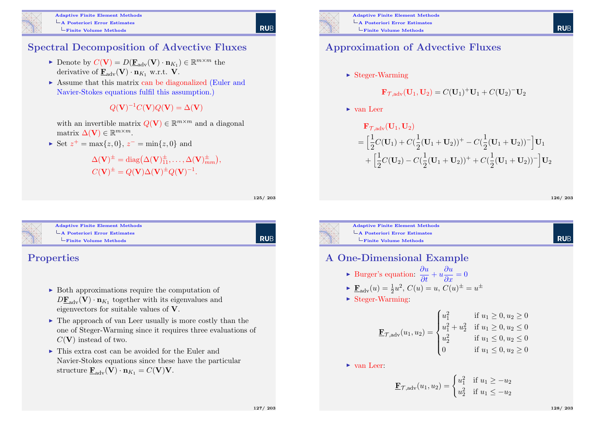

#### Spectral Decomposition of Advective Fluxes

- ► Denote by  $C(V) = D(\underline{\mathbf{F}}_{adv}(\mathbf{V}) \cdot \mathbf{n}_{K_1}) \in \mathbb{R}^{m \times m}$  the derivative of  $\mathbf{F}_{adv}(\mathbf{V}) \cdot \mathbf{n}_{K_1}$  w.r.t. V.
- $\triangleright$  Assume that this matrix can be diagonalized (Euler and Navier-Stokes equations fulfil this assumption.)

 $Q(\mathbf{V})^{-1}C(\mathbf{V})Q(\mathbf{V}) = \Delta(\mathbf{V})$ 

with an invertible matrix  $Q(\mathbf{V}) \in \mathbb{R}^{m \times m}$  and a diagonal matrix  $\Delta(\mathbf{V}) \in \mathbb{R}^{m \times m}$ .

► Set  $z^+ = \max\{z, 0\}, z^- = \min\{z, 0\}$  and

 $\Delta(\mathbf{V})^{\pm} = \text{diag}(\Delta(\mathbf{V})^{\pm}_{11}, \dots, \Delta(\mathbf{V})^{\pm}_{mm}),$  $C(\mathbf{V})^{\pm} = Q(\mathbf{V})\Delta(\mathbf{V})^{\pm}Q(\mathbf{V})^{-1}.$ 

125/ 203

RUB

**RUB** 

<span id="page-31-0"></span>

| <b>Adaptive Finite Element Methods</b> |
|----------------------------------------|
| $\vdash$ A Posteriori Error Estimates  |
| $-Finite$ Volume Methods               |

#### Properties

- $\triangleright$  Both approximations require the computation of  $D\underline{\mathbf{F}}_{\text{adv}}(\mathbf{V}) \cdot \mathbf{n}_{K_1}$  together with its eigenvalues and eigenvectors for suitable values of V.
- $\triangleright$  The approach of van Leer usually is more costly than the one of Steger-Warming since it requires three evaluations of  $C(V)$  instead of two.
- $\triangleright$  This extra cost can be avoided for the Euler and Navier-Stokes equations since these have the particular structure  $\mathbf{F}_{adv}(\mathbf{V}) \cdot \mathbf{n}_{K_1} = C(\mathbf{V}) \mathbf{V}$ .



#### Approximation of Advective Fluxes

 $\triangleright$  Steger-Warming

$$
\mathbf{F}_{\mathcal{T},adv}(\mathbf{U}_1, \mathbf{U}_2) = C(\mathbf{U}_1)^+ \mathbf{U}_1 + C(\mathbf{U}_2)^- \mathbf{U}_2
$$

 $\blacktriangleright$  van Leer

$$
\mathbf{F}_{\mathcal{T},adv}(\mathbf{U}_1, \mathbf{U}_2)
$$
\n
$$
= \left[ \frac{1}{2} C(\mathbf{U}_1) + C(\frac{1}{2} (\mathbf{U}_1 + \mathbf{U}_2))^+ - C(\frac{1}{2} (\mathbf{U}_1 + \mathbf{U}_2))^-\right] \mathbf{U}_1
$$
\n
$$
+ \left[ \frac{1}{2} C(\mathbf{U}_2) - C(\frac{1}{2} (\mathbf{U}_1 + \mathbf{U}_2))^+ + C(\frac{1}{2} (\mathbf{U}_1 + \mathbf{U}_2))^-\right] \mathbf{U}_2
$$

126/ 203

**RUE** 

**RUF** 



#### A One-Dimensional Example

► Burger's equation: 
$$
\frac{\partial u}{\partial t} + u \frac{\partial u}{\partial x} = 0
$$

$$
\blacktriangleright \mathbf{\underline{F}}_{\text{adv}}(u) = \frac{1}{2}u^2, C(u) = u, C(u)^{\pm} = u^{\pm}
$$

 $\triangleright$  Steger-Warming:

$$
\mathbf{E}_{\mathcal{T},\text{adv}}(u_1, u_2) = \begin{cases} u_1^2 & \text{if } u_1 \ge 0, u_2 \ge 0\\ u_1^2 + u_2^2 & \text{if } u_1 \ge 0, u_2 \le 0\\ u_2^2 & \text{if } u_1 \le 0, u_2 \le 0\\ 0 & \text{if } u_1 \le 0, u_2 \ge 0 \end{cases}
$$

 $\triangleright$  van Leer:

$$
\mathbf{F}_{\mathcal{T},\text{adv}}(u_1, u_2) = \begin{cases} u_1^2 & \text{if } u_1 \ge -u_2 \\ u_2^2 & \text{if } u_1 \le -u_2 \end{cases}
$$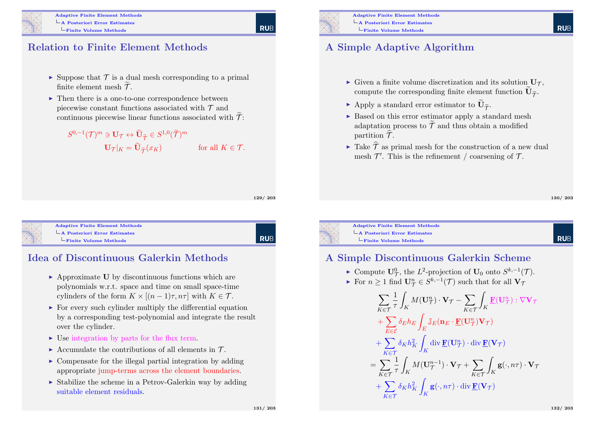

#### Relation to Finite Element Methods

- $\triangleright$  Suppose that  $\mathcal T$  is a dual mesh corresponding to a primal finite element mesh  $\mathcal{T}$ .
- $\blacktriangleright$  Then there is a one-to-one correspondence between piecewise constant functions associated with  $\mathcal T$  and continuous piecewise linear functions associated with  $\tilde{\mathcal{T}}$ :
	- $S^{0,-1}({\mathcal T})^m \ni {\mathbf{U}}_{\mathcal T} \leftrightarrow \widetilde{\mathbf{U}}_{\widetilde{\mathcal T}} \in S^{1,0}(\widetilde{\mathcal T})^m$  $\mathbf{U}_{\mathcal{T}}|_K = \mathbf{U}_{\widetilde{\mathcal{T}}}(x_K)$  for all  $K \in \mathcal{T}$ .

129/ 203

**RUE** 

<span id="page-32-0"></span>

Adaptive Finite Element Methods [A Posteriori Error Estim](#page-0-0)ates [Finite Volume Meth](#page-32-0)ods

RUB

131/ 203

#### Idea of Discontinuous Galerkin Methods

- $\triangleright$  Approximate U by discontinuous functions which are polynomials w.r.t. space and time on small space-time cylinders of the form  $K \times [(n-1)\tau, n\tau]$  with  $K \in \mathcal{T}$ .
- $\triangleright$  For every such cylinder multiply the differential equation by a corresponding test-polynomial and integrate the result over the cylinder.
- $\triangleright$  Use integration by parts for the flux term.
- Accumulate the contributions of all elements in  $\mathcal{T}$ .
- $\triangleright$  Compensate for the illegal partial integration by adding appropriate jump-terms across the element boundaries.
- $\triangleright$  Stabilize the scheme in a Petrov-Galerkin way by adding suitable element residuals.



### A Simple Adaptive Algorithm

- $\triangleright$  Given a finite volume discretization and its solution  $U_{\tau}$ , compute the corresponding finite element function  $\mathbf{U}_{\widetilde{\mathcal{T}}}$ .
- Apply a standard error estimator to  $\mathbf{U}_{\widetilde{\mathcal{T}}}$ .
- $\triangleright$  Based on this error estimator apply a standard mesh adaptation process to  $\widetilde{\mathcal{T}}$  and thus obtain a modified partition  $\hat{\mathcal{T}}$ .

A Simple Discontinuous Galerkin Scheme

► Compute  $\mathbf{U}_{\mathcal{T}}^0$ , the  $L^2$ -projection of  $\mathbf{U}_0$  onto  $S^{k,-1}(\mathcal{T})$ . For  $n \geq 1$  find  $\mathbf{U}_{\mathcal{T}}^n \in S^{k,-1}(\mathcal{T})$  such that for all  $\mathbf{V}_{\mathcal{T}}$ 

 $M(\mathbf{U}_{\mathcal{T}}^n)\cdot \mathbf{V}_{\mathcal{T}} - \ \sum$ 

 $M(\mathbf{U}^{n-1}_{\mathcal{T}})\cdot \mathbf{V}_{\mathcal{T}} + \sum$ 

K∈T

 $\mathrm{div}\,\underline{\mathbf{F}}(\mathbf{U}_{\mathcal{T}}^n)\cdot\mathrm{div}\,\underline{\mathbf{F}}(\mathbf{V}_{\mathcal{T}})$ 

 $\mathbf{g}(\cdot, n\tau)\cdot\mathrm{div}\,\mathbf{F}(\mathbf{V}_\mathcal{T})$ 

 $K \in \mathcal{T}$ 

Z K

 $\mathbb{J}_E(\mathbf{n}_E\cdot\underline{\mathbf{F}}(\mathbf{U}_{\mathcal{T}}^n)\mathbf{V}_{\mathcal{T}})$ 

Z K

 $\underline{\mathbf{F}}(\mathbf{U}_{\mathcal{T}}^n) : \nabla \mathbf{V}_{\mathcal{T}}$ 

 $\mathbf{g}(\cdot, n\tau) \cdot \mathbf{V}_{\mathcal{T}}$ 

 $\triangleright$  Take  $\widehat{\mathcal{T}}$  as primal mesh for the construction of a new dual mesh  $\mathcal{T}'$ . This is the refinement / coarsening of  $\mathcal{T}$ .

**RUE** 

**RUF** 

Adaptive Finite Element Methods A Posteriori Error Estimates Finite Volume Methods

> $\sum$ K∈T

 $+\sum$ E∈E

 $+$   $\sum$  $K \in \mathcal{T}$ 

 $+$   $\sum$  $K \in \mathcal{T}$ 

 $=$   $\sum$  $K \in \mathcal{T}$  1 τ Z K

1 τ Z K

 $\delta_E h_E$ 

 $\delta_K h_K^2$ 

 $\delta_K h_K^2$ 

E

Z K

Z K

$$
x\in \mathbb{R}^n
$$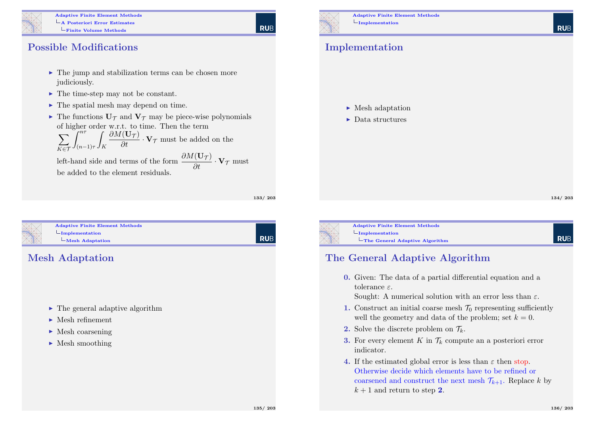

Adaptive Finite Element Methods A Posteriori Error Estimates  $L$ Finite Volume Methods

#### Possible Modifications

- $\blacktriangleright$  The jump and stabilization terms can be chosen more judiciously.
- $\blacktriangleright$  The time-step may not be constant.
- $\blacktriangleright$  The spatial mesh may depend on time.
- $\triangleright$  The functions  $U_{\tau}$  and  $V_{\tau}$  may be piece-wise polynomials of higher order w.r.t. to time. Then the term

$$
\sum_{K \in \mathcal{T}} \int_{(n-1)\tau}^{n\tau} \int_K \frac{\partial M(\mathbf{U}_{\mathcal{T}})}{\partial t} \cdot \mathbf{V}_{\mathcal{T}} \text{ must be added on the}
$$

left-hand side and terms of the form  $\frac{\partial M(\mathbf{U}_{\mathcal{T}})}{\partial t} \cdot \mathbf{V}_{\mathcal{T}}$  must be added to the element residuals.

133/ 203

| RUB

<span id="page-33-0"></span>

| <b>Adaptive Finite Element Methods</b> |
|----------------------------------------|
| $-$ Implementation                     |
| $\mathbf{-Mesh}$ Adaptation            |
|                                        |

#### Mesh Adaptation

- $\blacktriangleright$  The general adaptive algorithm
- $\blacktriangleright$  Mesh refinement
- $\blacktriangleright$  Mesh coarsening
- $\blacktriangleright$  Mesh smoothing



Adaptive Finite Element Methods  $L$ Implementation

#### Implementation

 $\blacktriangleright$  Mesh adaptation

 $\blacktriangleright$  Data structures

134/ 203

**RUE** 

Adaptive Finite Element Methods  $L$ Implementation

The General Adaptive Algorithm

### **RUE**

#### The General Adaptive Algorithm

0. Given: The data of a partial differential equation and a tolerance  $\varepsilon$ .

Sought: A numerical solution with an error less than  $\varepsilon$ .

- 1. Construct an initial coarse mesh  $\mathcal{T}_0$  representing sufficiently well the geometry and data of the problem; set  $k = 0$ .
- 2. Solve the discrete problem on  $\mathcal{T}_k$ .
- **3.** For every element K in  $\mathcal{T}_k$  compute an a posteriori error indicator.
- 4. If the estimated global error is less than  $\varepsilon$  then stop. Otherwise decide which elements have to be refined or coarsened and construct the next mesh  $\mathcal{T}_{k+1}$ . Replace k by  $k+1$  and return to step 2.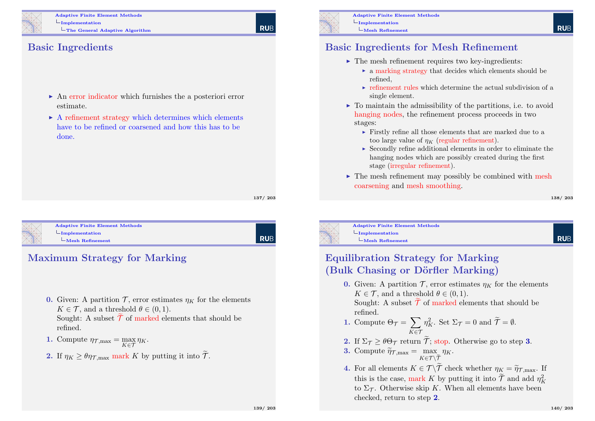

Adaptive Finite Element Methods  $L$ Implementation The General Adaptive Algorithm

#### Basic Ingredients

- $\triangleright$  An error indicator which furnishes the a posteriori error estimate.
- $\triangleright$  A refinement strategy which determines which elements have to be refined or coarsened and how this has to be done.

137/ 203

<span id="page-34-0"></span>

Adaptive Finite Element Methods  $L$ [Implementation](#page-0-0) [Mesh](#page-34-0) Refinement

**RUB** 

#### Maximum Strategy for Marking

- 0. Given: A partition  $\mathcal{T}$ , error estimates  $\eta_K$  for the elements  $K \in \mathcal{T}$ , and a threshold  $\theta \in (0,1)$ . Sought: A subset  $\mathcal T$  of marked elements that should be refined.
- **1.** Compute  $\eta_{\mathcal{T},\text{max}} = \max_{K \in \mathcal{T}} \eta_K$ .
- 2. If  $\eta_K \geq \theta \eta_{\text{T,max}}$  mark K by putting it into  $\tilde{\mathcal{T}}$ .



Adaptive Finite Element Methods  $L$ Implementation Mesh Refinement

#### Basic Ingredients for Mesh Refinement

- $\blacktriangleright$  The mesh refinement requires two key-ingredients:
	- $\triangleright$  a marking strategy that decides which elements should be refined,
	- $\triangleright$  refinement rules which determine the actual subdivision of a single element.
- $\triangleright$  To maintain the admissibility of the partitions, i.e. to avoid hanging nodes, the refinement process proceeds in two stages:
	- $\blacktriangleright$  Firstly refine all those elements that are marked due to a too large value of  $n_K$  (regular refinement).
	- $\triangleright$  Secondly refine additional elements in order to eliminate the hanging nodes which are possibly created during the first stage (irregular refinement).
- $\triangleright$  The mesh refinement may possibly be combined with mesh coarsening and mesh smoothing.

138/ 203



Mesh Refinement

**RUE** 

#### Equilibration Strategy for Marking (Bulk Chasing or Dörfler Marking)

0. Given: A partition  $\mathcal{T}$ , error estimates  $\eta_K$  for the elements  $K \in \mathcal{T}$ , and a threshold  $\theta \in (0, 1)$ .

Sought: A subset  $\widetilde{\mathcal{T}}$  of marked elements that should be refined.

- 1. Compute  $\Theta_{\mathcal{T}} = \sum$  $K \in \mathcal{T}$  $\eta_K^2$ . Set  $\Sigma_{\mathcal{T}} = 0$  and  $\widetilde{\mathcal{T}} = \emptyset$ .
- **2.** If  $\Sigma \tau > \theta \Theta \tau$  return  $\widetilde{\tau}$ ; stop. Otherwise go to step **3.**
- **3.** Compute  $\widetilde{\eta}_{\mathcal{T},\text{max}} = \max_{K \in \mathcal{T} \setminus \widetilde{\mathcal{T}}}$  $\eta_K$ .
- 4. For all elements  $K \in \mathcal{T} \backslash \mathcal{T}$  check whether  $\eta_K = \widetilde{\eta}_{\mathcal{T}, \text{max}}$ . If this is the case, mark K by putting it into  $\widetilde{\mathcal{T}}$  and add  $\eta_K^2$ to  $\Sigma_{\mathcal{T}}$ . Otherwise skip K. When all elements have been checked, return to step 2.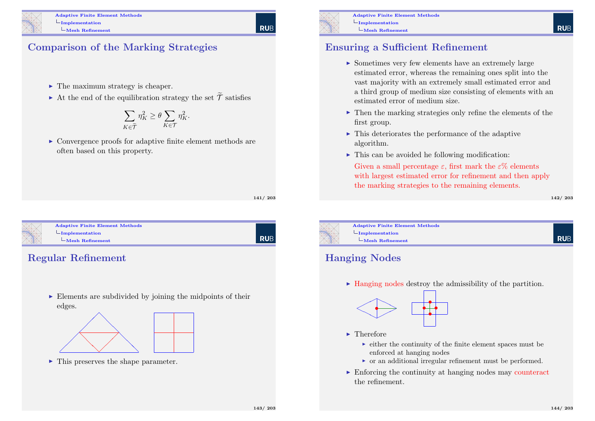#### Comparison of the Marking Strategies

- $\blacktriangleright$  The maximum strategy is cheaper.
- At the end of the equilibration strategy the set  $\widetilde{\mathcal{T}}$  satisfies

$$
\sum_{K\in\widetilde{\mathcal T}}\eta_K^2\geq\theta\sum_{K\in\mathcal T}\eta_K^2.
$$

 $\triangleright$  Convergence proofs for adaptive finite element methods are often based on this property.

141/ 203

**RUE** 

<span id="page-35-0"></span>

# Adaptive Finite Element Methods

# **RUB**

### Regular Refinement

 $\triangleright$  Elements are subdivided by joining the midpoints of their edges.



 $\blacktriangleright$  This preserves the shape parameter.



Adaptive Finite Element Methods  $L$ Implementation  $L$ Mesh Refinement

#### Ensuring a Sufficient Refinement

- $\triangleright$  Sometimes very few elements have an extremely large estimated error, whereas the remaining ones split into the vast majority with an extremely small estimated error and a third group of medium size consisting of elements with an estimated error of medium size.
- $\triangleright$  Then the marking strategies only refine the elements of the first group.
- $\triangleright$  This deteriorates the performance of the adaptive algorithm.
- $\triangleright$  This can be avoided he following modification:

Given a small percentage  $\varepsilon$ , first mark the  $\varepsilon\%$  elements with largest estimated error for refinement and then apply the marking strategies to the remaining elements.

142/ 203

**RUF** 



Adaptive Finite Element Methods  $L$ Mesh Refinement

### Hanging Nodes

 $\blacktriangleright$  Hanging nodes destroy the admissibility of the partition.



- $\blacktriangleright$  Therefore
	- $\triangleright$  either the continuity of the finite element spaces must be enforced at hanging nodes
	- $\triangleright$  or an additional irregular refinement must be performed.
- $\triangleright$  Enforcing the continuity at hanging nodes may counteract the refinement.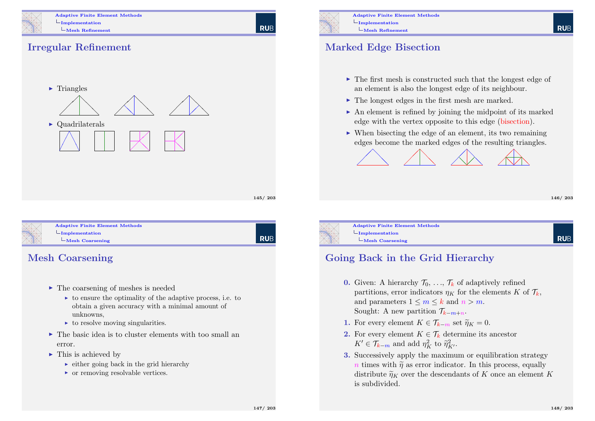

Adaptive Finite Element Methods  $L$ Implementation Mesh Refinement

**RUE** 

### Irregular Refinement



145/ 203

<span id="page-36-0"></span>

Adaptive Finite Element Methods  $L$ [Implementation](#page-0-0)  $L_{\text{Mesh}}$  $L_{\text{Mesh}}$  $L_{\text{Mesh}}$  Coarsening

**RUB** 

### Mesh Coarsening

- $\blacktriangleright$  The coarsening of meshes is needed
	- $\triangleright$  to ensure the optimality of the adaptive process, i.e. to obtain a given accuracy with a minimal amount of unknowns,
	- $\triangleright$  to resolve moving singularities.
- $\blacktriangleright$  The basic idea is to cluster elements with too small an error.
- $\blacktriangleright$  This is achieved by
	- $\rightarrow$  either going back in the grid hierarchy
	- $\triangleright$  or removing resolvable vertices.



Adaptive Finite Element Methods  $L$ Implementation  $L$ Mesh Refinement

#### Marked Edge Bisection

- $\triangleright$  The first mesh is constructed such that the longest edge of an element is also the longest edge of its neighbour.
- $\triangleright$  The longest edges in the first mesh are marked.
- $\triangleright$  An element is refined by joining the midpoint of its marked edge with the vertex opposite to this edge (bisection).
- $\triangleright$  When bisecting the edge of an element, its two remaining edges become the marked edges of the resulting triangles.



**RUF** 



Adaptive Finite Element Methods  $L$ Mesh Coarsening

### Going Back in the Grid Hierarchy

- **0.** Given: A hierarchy  $\mathcal{T}_0, \ldots, \mathcal{T}_k$  of adaptively refined partitions, error indicators  $\eta_K$  for the elements K of  $\mathcal{T}_k$ , and parameters  $1 \leq m \leq k$  and  $n > m$ . Sought: A new partition  $\mathcal{T}_{k-m+n}$ .
- 1. For every element  $K \in \mathcal{T}_{k-m}$  set  $\widetilde{\eta}_K = 0$ .
- 2. For every element  $K \in \mathcal{T}_k$  determine its ancestor  $K' \in \mathcal{T}_{k-m}$  and add  $\eta_K^2$  to  $\widetilde{\eta}_{K'}^2$ .
- 3. Successively apply the maximum or equilibration strategy n times with  $\tilde{\eta}$  as error indicator. In this process, equally distribute  $\widetilde{\eta}_K$  over the descendants of K once an element K is subdivided.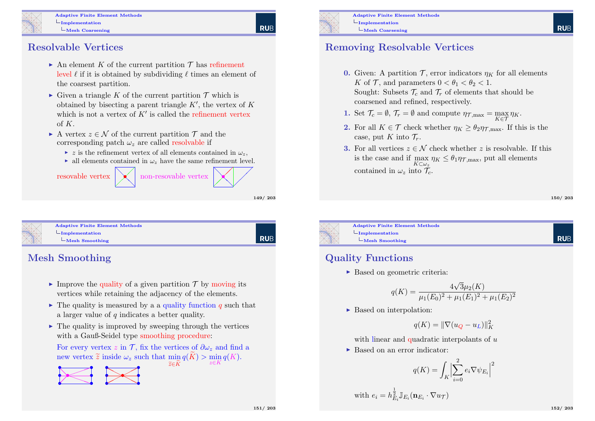Adaptive Finite Element Methods  $L$ Implementation  $L$ Mesh Coarsening

#### Resolvable Vertices

- An element K of the current partition  $\mathcal T$  has refinement level  $\ell$  if it is obtained by subdividing  $\ell$  times an element of the coarsest partition.
- $\triangleright$  Given a triangle K of the current partition  $\mathcal T$  which is obtained by bisecting a parent triangle  $K'$ , the vertex of  $K$ which is not a vertex of  $K'$  is called the refinement vertex of  $K$ .
- A vertex  $z \in \mathcal{N}$  of the current partition  $\mathcal{T}$  and the corresponding patch  $\omega_z$  are called resolvable if
	- $\triangleright$  z is the refinement vertex of all elements contained in  $\omega_z$ ,
	- $\blacktriangleright$  all elements contained in  $\omega$ , have the same refinement level.



149/ 203

**RUE** 

╱ Γ

```
Adaptive Finite Element Methods
LImplementation
                                                                    RUB
 LMesh Smoothing
```
### Mesh Smoothing

- Improve the quality of a given partition  $\mathcal T$  by moving its vertices while retaining the adjacency of the elements.
- $\triangleright$  The quality is measured by a a quality function q such that a larger value of  $q$  indicates a better quality.
- $\blacktriangleright$  The quality is improved by sweeping through the vertices with a Gauß-Seidel type smoothing procedure:

For every vertex z in T, fix the vertices of  $\partial \omega_z$  and find a new vertex  $\widetilde{z}$  inside  $\omega_z$  such that  $\min_{\widetilde{z} \in \widetilde{K}} q(K) > \min_{z \in K} q(K)$ .  $\widetilde{z} \in K$ z∈K

> • •



Adaptive Finite Element Methods  $L$ Implementation  $L$ Mesh Coarsening

#### Removing Resolvable Vertices

- 0. Given: A partition  $\mathcal{T}$ , error indicators  $\eta_K$  for all elements K of T, and parameters  $0 < \theta_1 < \theta_2 < 1$ . Sought: Subsets  $\mathcal{T}_c$  and  $\mathcal{T}_r$  of elements that should be coarsened and refined, respectively.
- 1. Set  $\mathcal{T}_c = \emptyset$ ,  $\mathcal{T}_r = \emptyset$  and compute  $\eta_{\mathcal{T},\max} = \max_{K \in \mathcal{T}} \eta_K$ .
- **2.** For all  $K \in \mathcal{T}$  check whether  $\eta_K > \theta_{2} \eta_{\mathcal{T} \text{ max}}$ . If this is the case, put K into  $\mathcal{T}_r$ .
- **3.** For all vertices  $z \in \mathcal{N}$  check whether z is resolvable. If this is the case and if  $\max_{K \subset \omega_z} \eta_K \leq \theta_1 \eta_{\mathcal{T}, \text{max}}$ , put all elements contained in  $\omega_z$  into  $\mathcal{T}_c$ .

150/ 203

**RUF** 



Adaptive Finite Element Methods  $L$ Implementation  $L$ Mesh Smoothing

### Quality Functions

 $\triangleright$  Based on geometric criteria:

$$
q(K) = \frac{4\sqrt{3}\mu_2(K)}{\mu_1(E_0)^2 + \mu_1(E_1)^2 + \mu_1(E_2)^2}
$$

► Based on interpolation:

$$
q(K) = \|\nabla(u_Q - u_L)\|_K^2
$$

with linear and quadratic interpolants of  $u$ 

► Based on an error indicator:

$$
q(K) = \int_K \Bigl| \sum_{i=0}^2 e_i \nabla \psi_{E_i} \Bigr|^2
$$

with  $e_i = h_{E_i}^{\frac{1}{2}} \mathbb{J}_{E_i}(\mathbf{n}_{E_i} \cdot \nabla u_{\mathcal{T}})$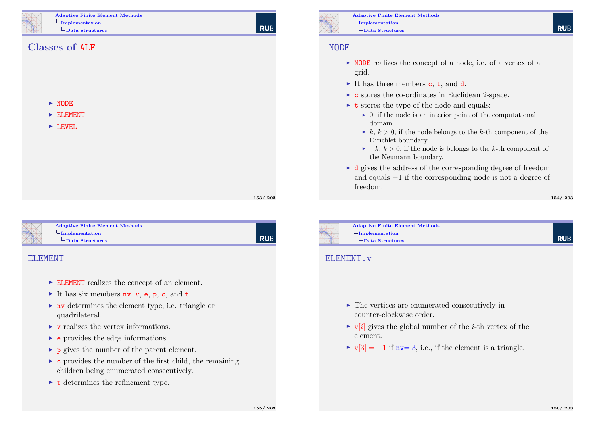Adaptive Finite Element Methods  $L$ Implementation Data Structures

#### Classes of ALF

 $\blacktriangleright$  NODE

 $\blacktriangleright$  ELEMENT

 $\blacktriangleright$  LEVEL

153/ 203

**RUE** 

<span id="page-38-0"></span>

Adaptive Finite Element Methods  $L$ [Implementation](#page-0-0) [Data S](#page-38-0)tructures

| Rub

#### ELEMENT

- $\triangleright$  ELEMENT realizes the concept of an element.
- It has six members **nv**, **v**, **e**, **p**, **c**, and **t**.
- $\triangleright$  ny determines the element type, i.e. triangle or quadrilateral.
- $\triangleright$  v realizes the vertex informations.
- $\blacktriangleright$  e provides the edge informations.
- $\triangleright$  p gives the number of the parent element.
- $\triangleright$  c provides the number of the first child, the remaining children being enumerated consecutively.
- $\triangleright$  t determines the refinement type.

Adaptive Finite Element Methods  $L$ Implementation  $L$ Data Structures

#### NODE

- $\triangleright$  NODE realizes the concept of a node, i.e. of a vertex of a grid.
- It has three members  $c, t,$  and  $d$ .
- $\triangleright$  c stores the co-ordinates in Euclidean 2-space.
- $\triangleright$  **t** stores the type of the node and equals:
	- $\triangleright$  0, if the node is an interior point of the computational domain,
	- $\blacktriangleright k, k > 0$ , if the node belongs to the k-th component of the Dirichlet boundary,
	- $\blacktriangleright -k, k > 0$ , if the node is belongs to the k-th component of the Neumann boundary.
- $\blacktriangleright$  d gives the address of the corresponding degree of freedom and equals −1 if the corresponding node is not a degree of freedom.

154/ 203

**RUE** 

Adaptive Finite Element Methods  $L$ Implementation  $L$ Data Structures

#### ELEMENT.v

- $\blacktriangleright$  The vertices are enumerated consecutively in counter-clockwise order.
- $\triangleright$  v[i] gives the global number of the *i*-th vertex of the element.
- $\triangleright \triangleright \triangleright \triangleright [3] = -1$  if nv= 3, i.e., if the element is a triangle.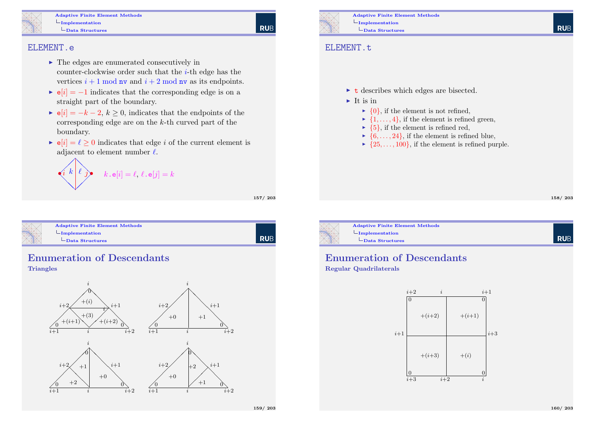Adaptive Finite Element Methods  $L$ Implementation Data Structures

#### ELEMENT.e

- $\blacktriangleright$  The edges are enumerated consecutively in counter-clockwise order such that the  $i$ -th edge has the vertices  $i + 1$  mod nv and  $i + 2$  mod nv as its endpoints.
- $\bullet$  e[i] = -1 indicates that the corresponding edge is on a straight part of the boundary.
- $\bullet$  e[i] = -k 2, k > 0, indicates that the endpoints of the corresponding edge are on the  $k$ -th curved part of the boundary.
- $\bullet$   $\mathbf{e}[i] = \ell \geq 0$  indicates that edge i of the current element is adjacent to element number  $\ell$ .

 $\left\langle i \right\rangle k \left| \right. \ell \left. \right\rangle$  $\diagup$ ❅ ❅❅  $\sum_{i=1}^{n}$  $\diagup$  $\frac{3}{\sqrt{2}}$  $\diagup$  $k \cdot \mathsf{e}[i] = \ell, \, \ell \cdot \mathsf{e}[j] = k$ 

157/ 203

**RUB** 

<span id="page-39-0"></span>

| <b>Adaptive Finite Element Methods</b><br>$\Box$ Implementation<br>$-\mathbf{Data\ Structures}$ |  |
|-------------------------------------------------------------------------------------------------|--|
|                                                                                                 |  |

# Enumeration of Descendants

#### **Triangles**





Adaptive Finite Element Methods  $L$ Implementation  $L$ Data Structures

#### ELEMENT.t

- $\triangleright$  t describes which edges are bisected.
- $\blacktriangleright$  It is in
	- $\blacktriangleright \{0\}$ , if the element is not refined,
	- $\blacktriangleright$  {1,..., 4}, if the element is refined green,
	- $\blacktriangleright$  {5}, if the element is refined red,
	- $\blacktriangleright \{6, \ldots, 24\}$ , if the element is refined blue,
	- $\rightarrow \{25, \ldots, 100\}$ , if the element is refined purple.

158/ 203

**RUE** 



#### Enumeration of Descendants

#### Regular Quadrilaterals

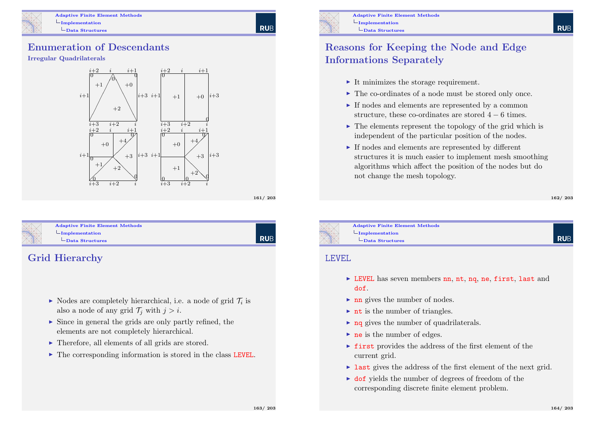Adaptive Finite Element Methods  $L$ Implementation Data Structures

#### Enumeration of Descendants

#### Irregular Quadrilaterals



161/ 203

**RUB** 

<span id="page-40-0"></span>

#### Adaptive Finite Element Methods  $L$ [Implementation](#page-0-0) [Data S](#page-40-0)tructures

**RUB** 

### Grid Hierarchy

- $\blacktriangleright$  Nodes are completely hierarchical, i.e. a node of grid  $\mathcal{T}_i$  is also a node of any grid  $\mathcal{T}_i$  with  $j > i$ .
- $\triangleright$  Since in general the grids are only partly refined, the elements are not completely hierarchical.
- $\blacktriangleright$  Therefore, all elements of all grids are stored.
- $\triangleright$  The corresponding information is stored in the class LEVEL.



### Reasons for Keeping the Node and Edge Informations Separately

- $\blacktriangleright$  It minimizes the storage requirement.
- $\blacktriangleright$  The co-ordinates of a node must be stored only once.
- $\blacktriangleright$  If nodes and elements are represented by a common structure, these co-ordinates are stored  $4 - 6$  times.
- $\triangleright$  The elements represent the topology of the grid which is independent of the particular position of the nodes.
- $\blacktriangleright$  If nodes and elements are represented by different structures it is much easier to implement mesh smoothing algorithms which affect the position of the nodes but do not change the mesh topology.

#### 162/ 203

**RUE** 

Adaptive Finite Element Methods  $L$ Implementation Data Structures

#### LEVEL

- $\triangleright$  LEVEL has seven members nn, nt, nq, ne, first, last and dof.
- $\blacktriangleright$  nn gives the number of nodes.
- $\triangleright$  nt is the number of triangles.
- $\triangleright$  ng gives the number of quadrilaterals.
- $\triangleright$  ne is the number of edges.
- $\triangleright$  first provides the address of the first element of the current grid.
- $\triangleright$  last gives the address of the first element of the next grid.
- $\triangleright$  dof yields the number of degrees of freedom of the corresponding discrete finite element problem.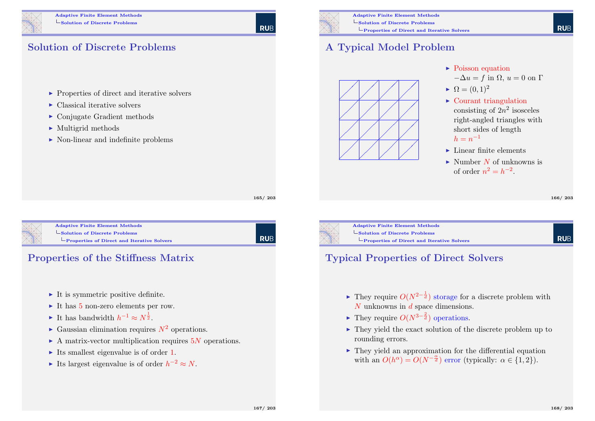

#### Solution of Discrete Problems

- $\triangleright$  Properties of direct and iterative solvers
- $\blacktriangleright$  Classical iterative solvers
- $\triangleright$  Conjugate Gradient methods
- $\blacktriangleright$  Multigrid methods
- $\triangleright$  Non-linear and indefinite problems



**RUE** 

Adaptive Finite Element Methods Solution of Discrete Problems Properties of Direct and Iterative Solvers

### A Typical Model Problem



- $\blacktriangleright$  Poisson equation  $-\Delta u = f$  in  $\Omega, u = 0$  on  $\Gamma$
- $\blacktriangleright \Omega = (0, 1)^2$
- $\blacktriangleright$  Courant triangulation consisting of  $2n^2$  isosceles right-angled triangles with short sides of length  $h = n^{-1}$
- $\blacktriangleright$  Linear finite elements
- $\blacktriangleright$  Number N of unknowns is of order  $n^2 = h^{-2}$ .

166/ 203

**RUE** 

<span id="page-41-0"></span>

#### Adaptive Finite Element Methods [Solution of Discrete Pro](#page-0-0)blems [Properties of Direct](#page-41-0) and Iterative Solvers



- $\blacktriangleright$  It is symmetric positive definite.
- It has  $5$  non-zero elements per row.
- It has bandwidth  $h^{-1} \approx N^{\frac{1}{2}}$ .
- $\blacktriangleright$  Gaussian elimination requires  $N^2$  operations.
- $\triangleright$  A matrix-vector multiplication requires 5N operations.
- Its smallest eigenvalue is of order 1.
- Its largest eigenvalue is of order  $h^{-2} \approx N$ .

**RUB** 

165/ 203



Adaptive Finite Element Methods Solution of Discrete Problems **L**Properties of Direct and Iterative Solvers

#### **RUE**

### Typical Properties of Direct Solvers

- ► They require  $O(N^{2-\frac{1}{d}})$  storage for a discrete problem with N unknowns in d space dimensions.
- ► They require  $O(N^{3-\frac{2}{d}})$  operations.
- $\triangleright$  They yield the exact solution of the discrete problem up to rounding errors.
- $\blacktriangleright$  They yield an approximation for the differential equation with an  $O(h^{\alpha}) = O(N^{-\frac{\alpha}{d}})$  error (typically:  $\alpha \in \{1,2\}$ ).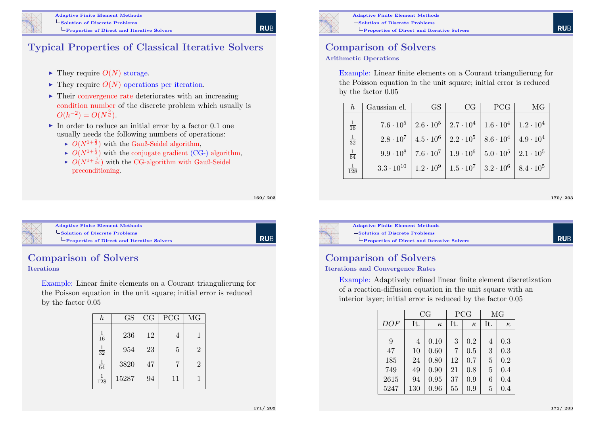

#### Typical Properties of Classical Iterative Solvers

- $\blacktriangleright$  They require  $O(N)$  storage.
- $\blacktriangleright$  They require  $O(N)$  operations per iteration.
- $\blacktriangleright$  Their convergence rate deteriorates with an increasing condition number of the discrete problem which usually is  $O(h^{-2}) = O(N^{\frac{2}{d}}).$
- $\blacktriangleright$  In order to reduce an initial error by a factor 0.1 one usually needs the following numbers of operations:
	- $\blacktriangleright$   $O(N^{1+\frac{2}{d}})$  with the Gauß-Seidel algorithm,
	- $\blacktriangleright$   $O(N^{1+\frac{1}{d}})$  with the conjugate gradient (CG-) algorithm,
	- $\blacktriangleright$   $O(N^{1+\frac{1}{2d}})$  with the CG-algorithm with Gauß-Seidel preconditioning.

169/ 203

**RUB** 

<span id="page-42-0"></span>

#### Adaptive Finite Element Methods  $\mathsf{\mathsf{L}}$  [Solution of Discrete Pro](#page-0-0)blems

[Properties of Direct](#page-42-0) and Iterative Solvers

**RUB** 

## Comparison of Solvers

#### Iterations

Example: Linear finite elements on a Courant triangulierung for the Poisson equation in the unit square; initial error is reduced by the factor 0.05

| h                | <b>GS</b> | CG | <b>PCG</b> | MG             |
|------------------|-----------|----|------------|----------------|
| $\frac{1}{16}$   | 236       | 12 | 4          | 1              |
| $\frac{1}{32}$   | 954       | 23 | 5          | $\overline{2}$ |
| $\frac{1}{64}$   | 3820      | 47 | 7          | $\overline{2}$ |
| $\overline{128}$ | 15287     | 94 | 11         | 1              |



Adaptive Finite Element Methods Solution of Discrete Problems Properties of Direct and Iterative Solvers

## Comparison of Solvers

#### Arithmetic Operations

Example: Linear finite elements on a Courant triangulierung for the Poisson equation in the unit square; initial error is reduced by the factor 0.05

|                  | Gaussian el. | GS                                                                                              | CG. | PCG | MG |
|------------------|--------------|-------------------------------------------------------------------------------------------------|-----|-----|----|
| $\frac{1}{16}$   |              | $7.6 \cdot 10^5$   $2.6 \cdot 10^5$   $2.7 \cdot 10^4$   $1.6 \cdot 10^4$   $1.2 \cdot 10^4$    |     |     |    |
| $\frac{1}{32}$   |              | $2.8 \cdot 10^7$   $4.5 \cdot 10^6$   $2.2 \cdot 10^5$   $8.6 \cdot 10^4$   $4.9 \cdot 10^4$    |     |     |    |
| $\frac{1}{64}$   |              | $9.9 \cdot 10^8$   $7.6 \cdot 10^7$   $1.9 \cdot 10^6$   $5.0 \cdot 10^5$   $2.1 \cdot 10^5$    |     |     |    |
| $\overline{128}$ |              | $3.3 \cdot 10^{10}$   $1.2 \cdot 10^9$   $1.5 \cdot 10^7$   $3.2 \cdot 10^6$   $8.4 \cdot 10^5$ |     |     |    |

170/ 203

**RUE** 



Adaptive Finite Element Methods Solution of Discrete Problems **L**Properties of Direct and Iterative Solvers

### Comparison of Solvers

#### Iterations and Convergence Rates

Example: Adaptively refined linear finite element discretization of a reaction-diffusion equation in the unit square with an interior layer; initial error is reduced by the factor 0.05

|      | CG             |          |     | PCG      |     | MG       |  |
|------|----------------|----------|-----|----------|-----|----------|--|
| DOF  | It.            | $\kappa$ | It. | $\kappa$ | It. | $\kappa$ |  |
|      |                |          |     |          |     |          |  |
| 9    | $\overline{4}$ | 0.10     | 3   | 0.2      | 4   | 0.3      |  |
| 47   | 10             | 0.60     | 7   | 0.5      | 3   | 0.3      |  |
| 185  | 24             | 0.80     | 12  | 0.7      | 5   | 0.2      |  |
| 749  | 49             | 0.90     | 21  | 0.8      | 5   | 0.4      |  |
| 2615 | 94             | 0.95     | 37  | 0.9      | 6   | 0.4      |  |
| 5247 | 130            | 0.96     | 55  | 0.9      | 5   | 0.4      |  |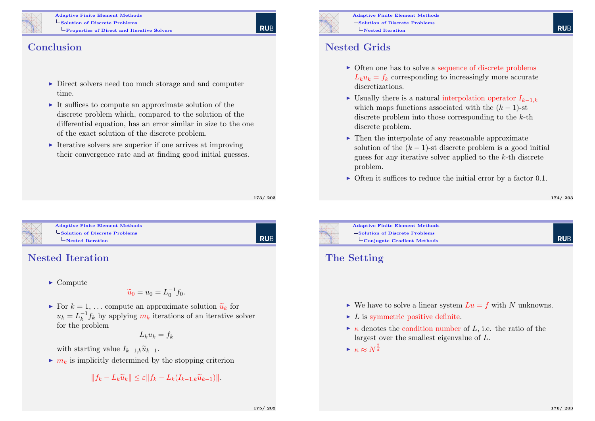

Adaptive Finite Element Methods Solution of Discrete Problems Properties of Direct and Iterative Solvers

#### **Conclusion**

- $\triangleright$  Direct solvers need too much storage and and computer time.
- $\triangleright$  It suffices to compute an approximate solution of the discrete problem which, compared to the solution of the differential equation, has an error similar in size to the one of the exact solution of the discrete problem.
- $\blacktriangleright$  Iterative solvers are superior if one arrives at improving their convergence rate and at finding good initial guesses.

173/ 203

**RUB** 

<span id="page-43-0"></span>

#### Adaptive Finite Element Methods  $\mathsf{\mathsf{L}}$  [Solution of Discrete Pro](#page-0-0)blems [Nested Iteration](#page-43-0)

### Nested Iteration

 $\blacktriangleright$  Compute

$$
\widetilde{u}_0 = u_0 = L_0^{-1} f_0.
$$

For  $k = 1, \ldots$  compute an approximate solution  $\tilde{u}_k$  for  $u_k = L_k^{-1}$  $\frac{-1}{k} f_k$  by applying  $m_k$  iterations of an iterative solver for the problem

$$
L_k u_k = f_k
$$

with starting value  $I_{k-1,k}\tilde{u}_{k-1}$ .

 $\blacktriangleright$   $m_k$  is implicitly determined by the stopping criterion

$$
||f_k - L_k \widetilde{u}_k|| \leq \varepsilon ||f_k - L_k(I_{k-1,k}\widetilde{u}_{k-1})||.
$$



Adaptive Finite Element Methods Solution of Discrete Problems Nested Iteration

#### Nested Grids

- $\triangleright$  Often one has to solve a sequence of discrete problems  $L_k u_k = f_k$  corresponding to increasingly more accurate discretizations.
- I Usually there is a natural interpolation operator  $I_{k-1,k}$ which maps functions associated with the  $(k-1)$ -st discrete problem into those corresponding to the  $k$ -th discrete problem.
- $\triangleright$  Then the interpolate of any reasonable approximate solution of the  $(k - 1)$ -st discrete problem is a good initial guess for any iterative solver applied to the k-th discrete problem.
- $\triangleright$  Often it suffices to reduce the initial error by a factor 0.1.

**RUF** 



Adaptive Finite Element Methods  $\mathsf{\mathsf{Solution}}$  of Discrete Problems Conjugate Gradient Methods

#### The Setting

- $\triangleright$  We have to solve a linear system  $Lu = f$  with N unknowns.
- $\blacktriangleright$  L is symmetric positive definite.
- $\triangleright$   $\kappa$  denotes the condition number of L, i.e. the ratio of the largest over the smallest eigenvalue of L.
- $\blacktriangleright$   $\kappa \approx N^{\frac{2}{d}}$

**RUF**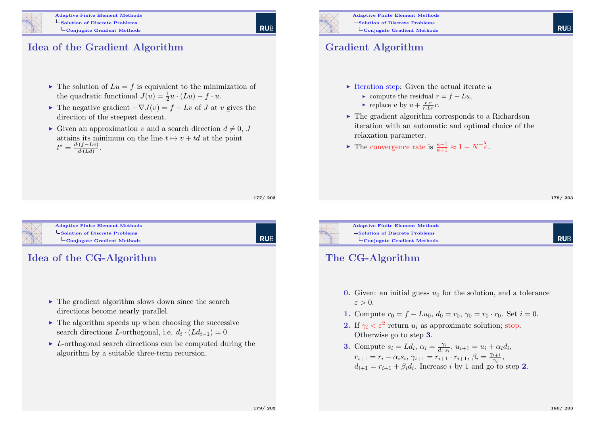

#### Idea of the Gradient Algorithm

- $\blacktriangleright$  The solution of  $Lu = f$  is equivalent to the minimization of the quadratic functional  $J(u) = \frac{1}{2}u \cdot (Lu) - f \cdot u$ .
- ► The negative gradient  $-\nabla J(v) = f Lv$  of J at v gives the direction of the steepest descent.
- $\blacktriangleright$  Given an approximation v and a search direction  $d \neq 0, J$ attains its minimum on the line  $t \mapsto v + td$  at the point  $t^* = \frac{d \cdot (f - Lv)}{d \cdot (Ld)}$  $\frac{(J-Lv)}{d(Ld)}$ .

177/ 203

<span id="page-44-0"></span>

#### Adaptive Finite Element Methods [Solution of Discrete Pro](#page-0-0)blems [Conjugate Gradient](#page-44-0) Methods

**RUB** 

#### Idea of the CG-Algorithm

- $\triangleright$  The gradient algorithm slows down since the search directions become nearly parallel.
- $\blacktriangleright$  The algorithm speeds up when choosing the successive search directions *L*-orthogonal, i.e.  $d_i \cdot (L d_{i-1}) = 0$ .
- $\triangleright$  L-orthogonal search directions can be computed during the algorithm by a suitable three-term recursion.

**RUE** 

#### Gradient Algorithm

- $\triangleright$  Iteration step: Given the actual iterate u
	- ightharpoonup compute the residual  $r = f Lu$ .
	- replace u by  $u + \frac{r \cdot r}{r \cdot Lr} r$ .
- $\triangleright$  The gradient algorithm corresponds to a Richardson iteration with an automatic and optimal choice of the relaxation parameter.
- Figure 1 The convergence rate is  $\frac{\kappa-1}{\kappa+1} \approx 1 N^{-\frac{2}{d}}$ .

178/ 203

**RUE** 



Adaptive Finite Element Methods Solution of Discrete Problems  $\mathcal{L}_{\text{Conjugate Gradient Methods}}$ 

#### The CG-Algorithm

- 0. Given: an initial guess  $u_0$  for the solution, and a tolerance  $\varepsilon > 0$ .
- 1. Compute  $r_0 = f Lu_0$ ,  $d_0 = r_0$ ,  $\gamma_0 = r_0 \cdot r_0$ . Set  $i = 0$ .
- 2. If  $\gamma_i < \varepsilon^2$  return  $u_i$  as approximate solution; stop. Otherwise go to step 3.
- **3.** Compute  $s_i = Ld_i$ ,  $\alpha_i = \frac{\gamma_i}{d_i}$  $\frac{\gamma_i}{d_i \cdot s_i}, u_{i+1} = u_i + \alpha_i d_i,$  $r_{i+1} = r_i - \alpha_i s_i, \, \gamma_{i+1} = r_{i+1} \cdot r_{i+1}, \, \beta_i = \frac{\gamma_{i+1}}{\gamma_i}$  $\frac{i+1}{\gamma_i},$  $d_{i+1} = r_{i+1} + \beta_i d_i$ . Increase i by 1 and go to step 2.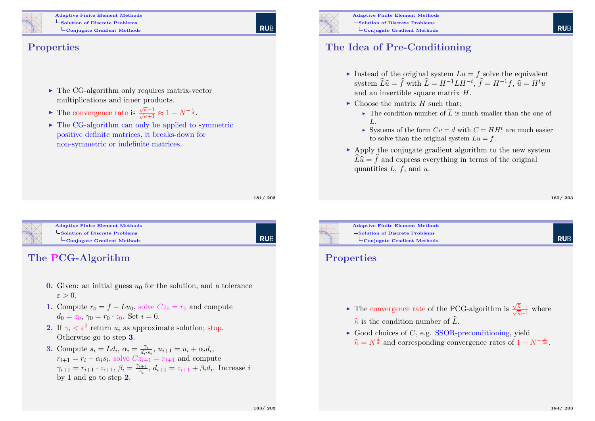

Adaptive Finite Element Methods Solution of Discrete Problems LConjugate Gradient Methods

#### Properties

- $\triangleright$  The CG-algorithm only requires matrix-vector multiplications and inner products.
- The convergence rate is  $\frac{\sqrt{\kappa}-1}{\sqrt{\kappa}+1} \approx 1 - N^{-\frac{1}{d}}.$
- $\triangleright$  The CG-algorithm can only be applied to symmetric positive definite matrices, it breaks-down for non-symmetric or indefinite matrices.

181/ 203

**RUE** 

<span id="page-45-0"></span>

Adaptive Finite Element Methods [Solution of Discrete Pro](#page-0-0)blems [Conjugate Gradient](#page-45-0) Methods

**RUB** 

#### The PCG-Algorithm

- 0. Given: an initial guess  $u_0$  for the solution, and a tolerance  $\varepsilon > 0$ .
- 1. Compute  $r_0 = f Lu_0$ , solve  $Cz_0 = r_0$  and compute  $d_0 = z_0, \gamma_0 = r_0 \cdot z_0$ . Set  $i = 0$ .
- 2. If  $\gamma_i < \varepsilon^2$  return  $u_i$  as approximate solution; stop. Otherwise go to step 3.
- **3.** Compute  $s_i = Ld_i$ ,  $\alpha_i = \frac{\gamma_i}{d_i}$  $\frac{\gamma_i}{d_i \cdot s_i}$ ,  $u_{i+1} = u_i + \alpha_i d_i$ ,  $r_{i+1} = r_i - \alpha_i s_i$ , solve  $Cz_{i+1} = r_{i+1}$  and compute  $\gamma_{i+1} = r_{i+1} \cdot z_{i+1}, \, \beta_i = \frac{\gamma_{i+1}}{\gamma_i}$  $\frac{i+1}{\gamma_i}, d_{i+1} = z_{i+1} + \beta_i d_i$ . Increase i by 1 and go to step 2.



- Instead of the original system  $Lu = f$  solve the equivalent system  $\widehat{L}\widehat{u} = \widehat{f}$  with  $\widehat{L} = H^{-1}LH^{-t}$ ,  $\widehat{f} = H^{-1}f$ ,  $\widehat{u} = H^t u$ and an invertible square matrix H.
- $\triangleright$  Choose the matrix H such that
	- $\triangleright$  The condition number of  $\widehat{L}$  is much smaller than the one of  $L$ .
	- Systems of the form  $Cv = d$  with  $C = HH<sup>t</sup>$  are much easier to solve than the original system  $Lu = f$ .
- $\triangleright$  Apply the conjugate gradient algorithm to the new system  $\widehat{L}\widehat{u} = \widehat{f}$  and express everything in terms of the original quantities  $L$ ,  $f$ , and  $u$ .

182/ 203

**RUF** 



Adaptive Finite Element Methods Solution of Discrete Problems  $\overline{\phantom{a}}$ Conjugate Gradient Methods

#### **Properties**

- $\blacktriangleright$  The convergence rate of the PCG-algorithm is  $\frac{\sqrt{\hat{\kappa}}-1}{\sqrt{\hat{\kappa}}+1}$  $\frac{\kappa-1}{\overline{\hat{\kappa}}+1}$  where  $\hat{\kappa}$  is the condition number of  $\hat{L}$ .
- $\triangleright$  Good choices of C, e.g. SSOR-preconditioning, yield  $\widehat{\kappa} = N^{\frac{1}{d}}$  and corresponding convergence rates of  $1 - N^{-\frac{1}{2d}}$ .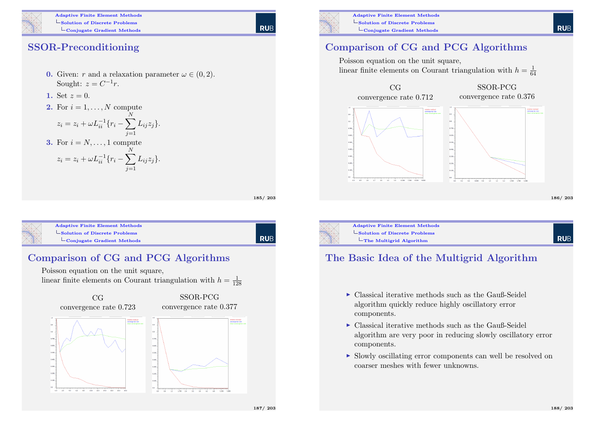

Adaptive Finite Element Methods  $\mathsf{\mathsf{L}}$  Solution of Discrete Problems Conjugate Gradient Methods

**RUB** 

#### SSOR-Preconditioning

- **0.** Given: r and a relaxation parameter  $\omega \in (0, 2)$ . Sought:  $z = C^{-1}r$ .
- 1. Set  $z = 0$ .
- 2. For  $i = 1, \ldots, N$  compute

$$
z_i = z_i + \omega L_{ii}^{-1} \{ r_i - \sum_{j=1}^{N} L_{ij} z_j \}.
$$

3. For 
$$
i = N, ..., 1
$$
 compute  
\n
$$
z_i = z_i + \omega L_{ii}^{-1} \{ r_i - \sum_{i=1}^{N} L_{ij} z_j \}.
$$

185/ 203

l rub

<span id="page-46-0"></span>

|  | <b>Adaptive Finite Element Methods</b>                |
|--|-------------------------------------------------------|
|  | $\ensuremath{\mathsf{Solution}}$ of Discrete Problems |
|  | $\overline{\phantom{a}}$ Conjugate Gradient Methods   |
|  |                                                       |

#### Comparison of CG and PCG Algorithms

Poisson equation on the unit square, linear finite elements on Courant triangulation with  $h = \frac{1}{128}$ 



![](_page_46_Picture_14.jpeg)

Adaptive Finite Element Methods LSolution of Discrete Problems Conjugate Gradient Methods

### Comparison of CG and PCG Algorithms

Poisson equation on the unit square, linear finite elements on Courant triangulation with  $h = \frac{1}{64}$ 

![](_page_46_Figure_18.jpeg)

![](_page_46_Picture_19.jpeg)

LSolution of Discrete Problems  $L$ The Multigrid Algorithm

#### The Basic Idea of the Multigrid Algorithm

- $\triangleright$  Classical iterative methods such as the Gauß-Seidel algorithm quickly reduce highly oscillatory error components.
- $\triangleright$  Classical iterative methods such as the Gauß-Seidel algorithm are very poor in reducing slowly oscillatory error components.
- $\triangleright$  Slowly oscillating error components can well be resolved on coarser meshes with fewer unknowns.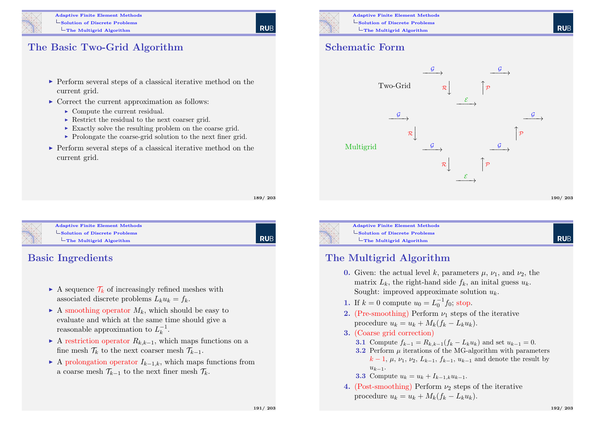![](_page_47_Figure_0.jpeg)

#### The Basic Two-Grid Algorithm

- $\triangleright$  Perform several steps of a classical iterative method on the current grid.
- $\triangleright$  Correct the current approximation as follows:
	- $\triangleright$  Compute the current residual.
	- $\triangleright$  Restrict the residual to the next coarser grid.
	- $\triangleright$  Exactly solve the resulting problem on the coarse grid.
	- $\triangleright$  Prolongate the coarse-grid solution to the next finer grid.
- $\triangleright$  Perform several steps of a classical iterative method on the current grid.

189/ 203

**RUE** 

<span id="page-47-0"></span>![](_page_47_Picture_11.jpeg)

#### Adaptive Finite Element Methods  $\mathsf{\mathsf{L}}$  [Solution of Discrete Pro](#page-0-0)blems  $L$ [The Multigrid Algor](#page-47-0)ithm

**RUB** 

#### Basic Ingredients

- A sequence  $\mathcal{T}_k$  of increasingly refined meshes with associated discrete problems  $L_k u_k = f_k$ .
- $\blacktriangleright$  A smoothing operator  $M_k$ , which should be easy to evaluate and which at the same time should give a reasonable approximation to  $L_k^{-1}$  $\frac{-1}{k}$ .
- A restriction operator  $R_{k,k-1}$ , which maps functions on a fine mesh  $\mathcal{T}_k$  to the next coarser mesh  $\mathcal{T}_{k-1}$ .
- A prolongation operator  $I_{k-1,k}$ , which maps functions from a coarse mesh  $\mathcal{T}_{k-1}$  to the next finer mesh  $\mathcal{T}_k$ .

![](_page_47_Picture_19.jpeg)

Adaptive Finite Element Methods Solution of Discrete Problems  $L$ The Multigrid Algorithm

#### Schematic Form

![](_page_47_Figure_23.jpeg)

![](_page_47_Picture_24.jpeg)

Adaptive Finite Element Methods  $\mathsf{\mathsf{Solution}}$  of Discrete Problems  $L$ The Multigrid Algorithm

### The Multigrid Algorithm

- 0. Given: the actual level k, parameters  $\mu$ ,  $\nu_1$ , and  $\nu_2$ , the matrix  $L_k$ , the right-hand side  $f_k$ , an initial guess  $u_k$ . Sought: improved approximate solution  $u_k$ .
- 1. If  $k = 0$  compute  $u_0 = L_0^{-1} f_0$ ; stop.
- 2. (Pre-smoothing) Perform  $\nu_1$  steps of the iterative procedure  $u_k = u_k + M_k(f_k - L_ku_k)$ .
- 3. (Coarse grid correction)
	- 3.1 Compute  $f_{k-1} = R_{k,k-1}(f_k L_k u_k)$  and set  $u_{k-1} = 0$ .
	- 3.2 Perform  $\mu$  iterations of the MG-algorithm with parameters  $k-1, \mu, \nu_1, \nu_2, L_{k-1}, f_{k-1}, u_{k-1}$  and denote the result by  $u_{k-1}$ .

**3.3** Compute 
$$
u_k = u_k + I_{k-1,k}u_{k-1}
$$
.

4. (Post-smoothing) Perform  $\nu_2$  steps of the iterative procedure  $u_k = u_k + M_k(f_k - L_ku_k)$ .

**RUF**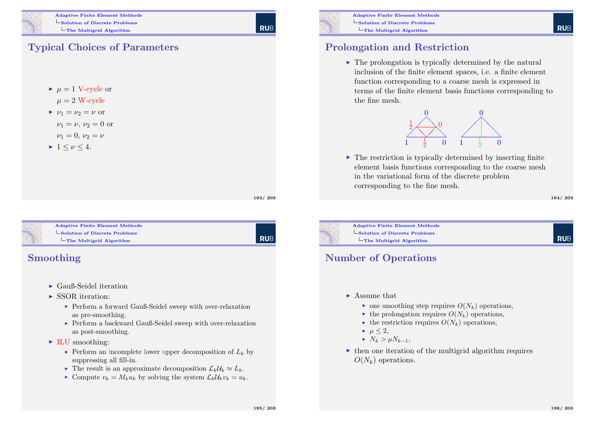![](_page_48_Figure_0.jpeg)

### Typical Choices of Parameters

- $\blacktriangleright$   $\mu = 1$  V-cycle or
- $\mu = 2$  W-cycle
- $\nu_1 = \nu_2 = \nu$  or
	- $\nu_1 = \nu, \nu_2 = 0$  or
	- $\nu_1 = 0, \nu_2 = \nu$
- $\blacktriangleright$  1  $\lt$   $\nu$   $\lt$  4.

193/ 203

**RUB** 

**RUE** 

<span id="page-48-0"></span>![](_page_48_Picture_10.jpeg)

Adaptive Finite Element Methods  $\mathsf{\mathsf{L}}$  [Solution of Discrete Pro](#page-0-0)blems  $L$ [The Multigrid Algor](#page-48-0)ithm

#### Smoothing

- $\blacktriangleright$  Gauß-Seidel iteration
- $\triangleright$  SSOR iteration:
	- $\blacktriangleright$  Perform a forward Gauß-Seidel sweep with over-relaxation as pre-smoothing.
	- ► Perform a backward Gauß-Seidel sweep with over-relaxation as post-smoothing.
- $\blacktriangleright$  ILU smoothing:
	- $\triangleright$  Perform an incomplete lower upper decomposition of  $L_k$  by suppressing all fill-in.
	- ► The result is an approximate decomposition  $\mathcal{L}_k \mathcal{U}_k \approx L_k$ .
	- $\triangleright$  Compute  $v_k = M_k u_k$  by solving the system  $\mathcal{L}_k \mathcal{U}_k v_k = u_k$ .

![](_page_48_Picture_21.jpeg)

Adaptive Finite Element Methods Solution of Discrete Problems  $L$ The Multigrid Algorithm

#### Prolongation and Restriction

 $\triangleright$  The prolongation is typically determined by the natural inclusion of the finite element spaces, i.e. a finite element function corresponding to a coarse mesh is expressed in terms of the finite element basis functions corresponding to the fine mesh.

![](_page_48_Picture_25.jpeg)

 $\triangleright$  The restriction is typically determined by inserting finite element basis functions corresponding to the coarse mesh in the variational form of the discrete problem corresponding to the fine mesh.

194/ 203

**RUF** 

**RUF** 

![](_page_48_Picture_28.jpeg)

Adaptive Finite Element Methods Solution of Discrete Problems  $L$ The Multigrid Algorithm

#### Number of Operations

- $\blacktriangleright$  Assume that
	- $\blacktriangleright$  one smoothing step requires  $O(N_k)$  operations,
	- $\blacktriangleright$  the prolongation requires  $O(N_k)$  operations,
	- $\blacktriangleright$  the restriction requires  $O(N_k)$  operations,
	- $\blacktriangleright$   $\mu$  < 2,
	- $N_k > \mu N_{k-1}$
- $\triangleright$  then one iteration of the multigrid algorithm requires  $O(N_k)$  operations.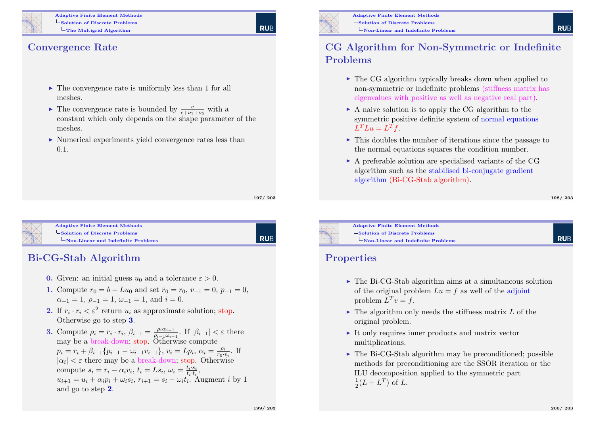![](_page_49_Picture_0.jpeg)

Adaptive Finite Element Methods  $\mathsf{\mathsf{L}}$  Solution of Discrete Problems  $L$ The Multigrid Algorithm

#### Convergence Rate

- $\triangleright$  The convergence rate is uniformly less than 1 for all meshes.
- The convergence rate is bounded by  $\frac{c}{c+\nu_1+\nu_2}$  with a constant which only depends on the shape parameter of the meshes.
- $\triangleright$  Numerical experiments yield convergence rates less than 0.1.

197/ 203

**RUE** 

<span id="page-49-0"></span>![](_page_49_Picture_7.jpeg)

Adaptive Finite Element Methods  $\mathsf{\mathsf{L}}$  [Solution of Discrete Pro](#page-0-0)blems [Non-Linear and Inde](#page-49-0)finite Problems

**RUB** 

### Bi-CG-Stab Algorithm

- **0.** Given: an initial guess  $u_0$  and a tolerance  $\varepsilon > 0$ .
- 1. Compute  $r_0 = b Lu_0$  and set  $\overline{r}_0 = r_0$ ,  $v_{-1} = 0$ ,  $p_{-1} = 0$ ,  $\alpha_{-1} = 1, \ \rho_{-1} = 1, \ \omega_{-1} = 1, \text{ and } i = 0.$
- **2.** If  $r_i \cdot r_i \leq \varepsilon^2$  return  $u_i$  as approximate solution; stop. Otherwise go to step 3.
- **3.** Compute  $\rho_i = \overline{r}_i \cdot r_i$ ,  $\beta_{i-1} = \frac{\rho_i \alpha_{i-1}}{\rho_{i-1} \omega_i}$  $\frac{\rho_i \alpha_{i-1}}{\rho_{i-1} \omega_{i-1}}$ . If  $|\beta_{i-1}| < \varepsilon$  there may be a break-down; stop. Otherwise compute  $p_i = r_i + \beta_{i-1} \{p_{i-1} - \omega_{i-1} v_{i-1}\}, v_i = L p_i, \alpha_i = \frac{\rho_i}{\bar{r}_{0,i}}$  $\frac{\rho_i}{\overline{r}_0 \cdot v_i}$ . If  $|\alpha_i| < \varepsilon$  there may be a break-down; stop. Otherwise compute  $s_i = r_i - \alpha_i v_i$ ,  $t_i = Ls_i$ ,  $\omega_i = \frac{t_i \cdot s_i}{t_i \cdot t_i}$  $\frac{t_i\cdot s_i}{t_i\cdot t_i},$  $u_{i+1} = u_i + \alpha_i p_i + \omega_i s_i, r_{i+1} = s_i - \omega_i t_i.$  Augment i by 1 and go to step 2.

![](_page_49_Picture_15.jpeg)

#### CG Algorithm for Non-Symmetric or Indefinite Problems

- $\triangleright$  The CG algorithm typically breaks down when applied to non-symmetric or indefinite problems (stiffness matrix has eigenvalues with positive as well as negative real part).
- $\triangleright$  A naive solution is to apply the CG algorithm to the symmetric positive definite system of normal equations  $L^T L u = L^T f.$
- $\triangleright$  This doubles the number of iterations since the passage to the normal equations squares the condition number.
- $\triangleright$  A preferable solution are specialised variants of the CG algorithm such as the stabilised bi-conjugate gradient algorithm (Bi-CG-Stab algorithm).

198/ 203

**RUE** 

![](_page_49_Picture_23.jpeg)

Adaptive Finite Element Methods  $\mathsf{\mathsf{Solution}}$  of Discrete Problems Non-Linear and Indefinite Problems

#### **Properties**

- $\triangleright$  The Bi-CG-Stab algorithm aims at a simultaneous solution of the original problem  $Lu = f$  as well of the adjoint problem  $L^T v = f$ .
- $\blacktriangleright$  The algorithm only needs the stiffness matrix L of the original problem.
- $\triangleright$  It only requires inner products and matrix vector multiplications.
- $\triangleright$  The Bi-CG-Stab algorithm may be preconditioned; possible methods for preconditioning are the SSOR iteration or the ILU decomposition applied to the symmetric part  $\frac{1}{2}(L + L^T)$  of L.